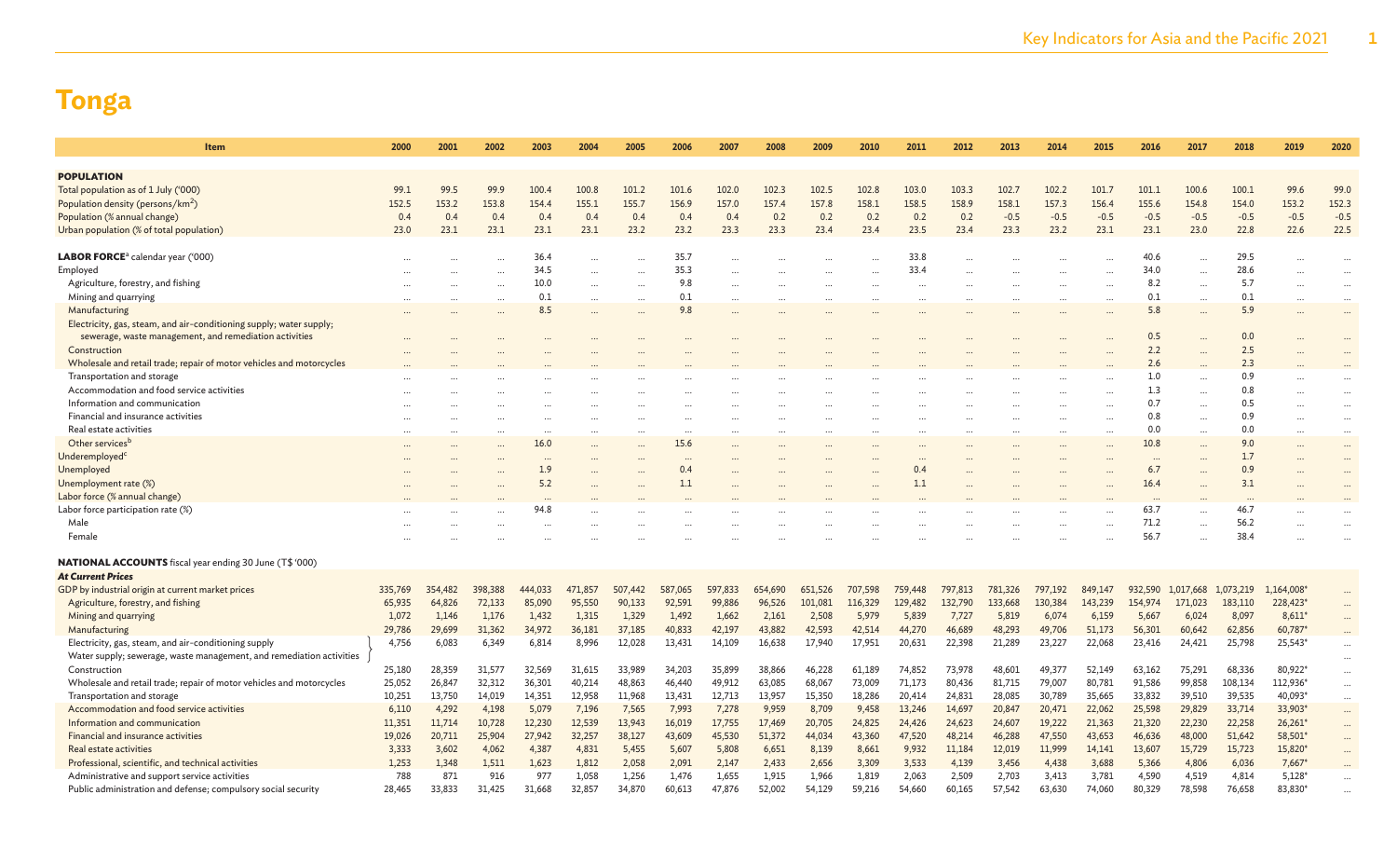| Item                                                                          | 2000    | 2001    | 2002    | 2003     | 2004    | 2005      | 2006     | 2007    | 2008    | 2009    | 2010    | 2011    | 2012    | 2013    | 2014    | 2015      | 2016     | 2017      | 2018      | 2019       | 2020      |
|-------------------------------------------------------------------------------|---------|---------|---------|----------|---------|-----------|----------|---------|---------|---------|---------|---------|---------|---------|---------|-----------|----------|-----------|-----------|------------|-----------|
| <b>POPULATION</b>                                                             |         |         |         |          |         |           |          |         |         |         |         |         |         |         |         |           |          |           |           |            |           |
| Total population as of 1 July ('000)                                          | 99.1    | 99.5    | 99.9    | 100.4    | 100.8   | 101.2     | 101.6    | 102.0   | 102.3   | 102.5   | 102.8   | 103.0   | 103.3   | 102.7   | 102.2   | 101.7     | 101.1    | 100.6     | 100.1     | 99.6       | 99.0      |
|                                                                               | 152.5   | 153.2   | 153.8   | 154.4    | 155.1   | 155.7     | 156.9    | 157.0   | 157.4   | 157.8   | 158.1   | 158.5   | 158.9   | 158.1   | 157.3   | 156.4     | 155.6    | 154.8     | 154.0     | 153.2      | 152.3     |
| Population density (persons/km <sup>2</sup> )<br>Population (% annual change) | 0.4     | 0.4     | 0.4     | 0.4      | 0.4     | 0.4       | 0.4      | 0.4     | 0.2     | 0.2     | 0.2     | 0.2     | 0.2     | $-0.5$  | $-0.5$  | $-0.5$    | $-0.5$   | $-0.5$    | $-0.5$    | $-0.5$     | $-0.5$    |
|                                                                               | 23.0    | 23.1    | 23.1    | 23.1     | 23.1    | 23.2      | 23.2     | 23.3    | 23.3    | 23.4    | 23.4    | 23.5    | 23.4    | 23.3    | 23.2    | 23.1      | 23.1     | 23.0      | 22.8      | 22.6       | 22.5      |
| Urban population (% of total population)                                      |         |         |         |          |         |           |          |         |         |         |         |         |         |         |         |           |          |           |           |            |           |
| <b>LABOR FORCE</b> ª calendar year ('000)                                     |         |         |         | 36.4     |         |           | 35.7     |         |         |         |         | 33.8    |         |         |         |           | 40.6     |           | 29.5      |            |           |
| Employed                                                                      |         |         |         | 34.5     |         |           | 35.3     |         |         |         |         | 33.4    |         |         |         |           | 34.0     |           | 28.6      |            | $\ddotsc$ |
| Agriculture, forestry, and fishing                                            |         |         |         | 10.0     |         | $\ddotsc$ | 9.8      |         |         |         |         |         |         |         |         |           | 8.2      | $\cdots$  | 5.7       |            | $\ddotsc$ |
| Mining and quarrying                                                          |         |         |         | 0.1      |         | $\ddotsc$ | 0.1      |         |         |         |         |         |         |         |         | $\ddotsc$ | 0.1      | $\cdots$  | 0.1       | $\ddotsc$  | $\ddots$  |
| Manufacturing                                                                 |         |         |         | 8.5      |         |           | 9.8      |         |         |         |         |         |         |         |         |           | 5.8      |           | 5.9       | $\ddotsc$  | $\ddots$  |
| Electricity, gas, steam, and air-conditioning supply; water supply;           |         |         |         |          |         |           |          |         |         |         |         |         |         |         |         |           |          |           |           |            |           |
| sewerage, waste management, and remediation activities                        |         |         |         |          |         |           |          |         |         |         |         |         |         |         |         |           | 0.5      |           | 0.0       |            |           |
| Construction                                                                  |         |         |         |          |         |           |          |         |         |         |         |         |         |         |         |           | 2.2      |           | 2.5       |            |           |
| Wholesale and retail trade; repair of motor vehicles and motorcycles          |         |         |         |          |         |           |          |         |         |         |         |         |         |         |         |           | 2.6      |           | 2.3       |            |           |
| Transportation and storage                                                    |         |         |         |          |         |           |          |         |         |         |         |         |         |         |         |           | 1.0      | $\ddotsc$ | 0.9       |            |           |
| Accommodation and food service activities                                     |         |         |         |          |         |           |          |         |         |         |         |         |         |         |         |           | 1.3      | $\ddotsc$ | 0.8       | $\ddotsc$  | $\ddotsc$ |
| Information and communication                                                 |         |         |         |          |         |           |          |         |         |         |         |         |         |         |         |           | 0.7      |           | 0.5       |            | $\ddotsc$ |
| Financial and insurance activities                                            |         |         |         |          |         |           |          |         |         |         |         |         |         |         |         |           | 0.8      | $\ddotsc$ | 0.9       | $\ddotsc$  | $\ddotsc$ |
| Real estate activities                                                        |         |         |         | $\cdots$ |         | $\cdots$  | $\cdots$ |         |         |         |         |         |         |         |         | $\cdots$  | 0.0      |           | 0.0       |            | $\cdots$  |
| Other services <sup>b</sup>                                                   |         |         |         | 16.0     |         |           | 15.6     |         |         |         |         |         |         |         |         |           | 10.8     |           | 9.0       |            | $\cdots$  |
| Underemployed <sup>c</sup>                                                    |         |         |         | $\cdots$ |         |           |          |         |         |         |         |         |         |         |         |           | $\cdots$ |           | 1.7       |            | $\ddotsc$ |
| Unemployed                                                                    |         |         |         | 1.9      |         |           | 0.4      |         |         |         |         | 0.4     |         |         |         |           | 6.7      |           | 0.9       |            |           |
| Unemployment rate (%)                                                         |         |         |         | 5.2      |         |           | $1.1\,$  |         |         |         |         | 1.1     |         |         |         |           | 16.4     |           | 3.1       |            |           |
| Labor force (% annual change)                                                 |         |         |         |          |         |           |          |         |         |         |         |         |         |         |         |           |          |           | $\cdots$  |            |           |
| Labor force participation rate (%)                                            |         |         |         | 94.8     |         |           |          |         |         |         |         |         |         |         |         |           | 63.7     | $\ddotsc$ | 46.7      |            |           |
| Male                                                                          |         |         |         | $\cdots$ |         |           |          |         |         |         |         |         |         |         |         |           | 71.2     |           | 56.2      | $\ddotsc$  |           |
| Female                                                                        |         |         |         |          |         |           |          |         |         |         |         |         |         |         |         |           | 56.7     |           | 38.4      |            |           |
|                                                                               |         |         |         |          |         |           |          |         |         |         |         |         |         |         |         |           |          |           |           |            |           |
| <b>NATIONAL ACCOUNTS</b> fiscal year ending 30 June (T\$ '000)                |         |         |         |          |         |           |          |         |         |         |         |         |         |         |         |           |          |           |           |            |           |
| <b>At Current Prices</b><br>GDP by industrial origin at current market prices | 335,769 | 354,482 | 398,388 | 444,033  | 471,857 | 507,442   | 587,065  | 597,833 | 654,690 | 651,526 | 707,598 | 759,448 | 797,813 | 781,326 | 797,192 | 849,147   | 932,590  | 1,017,668 | 1,073,219 | 1,164,008* |           |
| Agriculture, forestry, and fishing                                            | 65,935  | 64,826  | 72,133  | 85,090   | 95,550  | 90,133    | 92,591   | 99,886  | 96,526  | 101,081 | 116,329 | 129,482 | 132,790 | 133,668 | 130,384 | 143,239   | 154,974  | 171,023   | 183,110   | 228,423*   | $\cdots$  |
| Mining and quarrying                                                          | 1.072   | 1,146   | 1,176   | 1,432    | 1,315   | 1,329     | 1,492    | 1,662   | 2,161   | 2,508   | 5,979   | 5,839   | 7,727   | 5,819   | 6,074   | 6,159     | 5,667    | 6,024     | 8,097     | $8,611*$   | $\cdots$  |
| Manufacturing                                                                 | 29,786  | 29,699  | 31,362  | 34,972   | 36,181  | 37,185    | 40,833   | 42,197  | 43,882  | 42,593  | 42,514  | 44,270  | 46,689  | 48,293  | 49,706  | 51,173    | 56,301   | 60,642    | 62,856    | 60,787*    |           |
| Electricity, gas, steam, and air-conditioning supply                          | 4,756   | 6,083   | 6,349   | 6,814    | 8,996   | 12,028    | 13,431   | 14,109  | 16,638  | 17,940  | 17,951  | 20,631  | 22,398  | 21,289  | 23,227  | 22,068    | 23,416   | 24,421    | 25,798    | 25,543*    |           |
| Water supply; sewerage, waste management, and remediation activities          |         |         |         |          |         |           |          |         |         |         |         |         |         |         |         |           |          |           |           |            |           |
| Construction                                                                  | 25,180  | 28,359  | 31,577  | 32,569   | 31,615  | 33,989    | 34,203   | 35,899  | 38,866  | 46,228  | 61,189  | 74,852  | 73,978  | 48,601  | 49,377  | 52,149    | 63,162   | 75,291    | 68,336    | 80,922*    | $\cdots$  |
| Wholesale and retail trade; repair of motor vehicles and motorcycles          | 25,052  | 26,847  | 32,312  | 36,301   | 40,214  | 48,863    | 46,440   | 49,912  | 63,085  | 68,067  | 73,009  | 71,173  | 80,436  | 81,715  | 79,007  | 80,781    | 91,586   | 99,858    | 108,134   | 112,936*   | $\ldots$  |
| Transportation and storage                                                    | 10,251  | 13,750  | 14,019  | 14,351   | 12,958  | 11,968    | 13,431   | 12,713  | 13,957  | 15,350  | 18,286  | 20,414  | 24,831  | 28,085  | 30,789  | 35,665    | 33,832   | 39,510    | 39,535    | 40,093*    | $\cdots$  |
| Accommodation and food service activities                                     | 6,110   | 4,292   | 4,198   | 5,079    | 7,196   | 7,565     | 7,993    | 7,278   | 9,959   | 8,709   | 9,458   | 13,246  | 14,697  | 20,847  | 20,471  | 22,062    | 25,598   | 29,829    | 33,714    | 33,903*    | $\cdots$  |
| Information and communication                                                 | 11,351  | 11,714  | 10,728  | 12,230   | 12,539  | 13,943    | 16,019   | 17,755  | 17,469  | 20,705  | 24,825  | 24,426  | 24,623  | 24,607  | 19,222  | 21,363    | 21,320   | 22,230    | 22,258    | $26,261*$  | $\cdots$  |
| Financial and insurance activities                                            | 19,026  | 20,711  | 25,904  | 27,942   | 32,257  | 38,127    | 43,609   | 45,530  | 51,372  | 44,034  | 43,360  | 47,520  | 48,214  | 46,288  | 47,550  | 43,653    | 46,636   | 48,000    | 51,642    | 58,501*    | $\cdots$  |
| Real estate activities                                                        | 3,333   | 3,602   | 4,062   | 4,387    | 4,831   | 5,455     | 5,607    | 5,808   | 6,651   | 8,139   | 8,661   | 9,932   | 11,184  | 12,019  | 11,999  | 14,141    | 13,607   | 15,729    | 15,723    | 15,820*    | $\cdots$  |
| Professional, scientific, and technical activities                            | 1,253   | 1,348   | 1,511   | 1,623    | 1,812   | 2,058     | 2,091    | 2,147   | 2,433   | 2,656   | 3,309   | 3,533   | 4,139   | 3,456   | 4,438   | 3,688     | 5,366    | 4,806     | 6,036     | $7,667*$   |           |
| Administrative and support service activities                                 | 788     | 871     | 916     | 977      | 1,058   | 1,256     | 1,476    | 1,655   | 1,915   | 1,966   | 1,819   | 2,063   | 2,509   | 2,703   | 3,413   | 3,781     | 4,590    | 4,519     | 4,814     | $5,128*$   | $\cdots$  |
| Public administration and defense; compulsory social security                 | 28,465  | 33,833  | 31,425  | 31,668   | 32,857  | 34,870    | 60,613   | 47,876  | 52,002  | 54,129  | 59,216  | 54,660  | 60,165  | 57,542  | 63,630  | 74,060    | 80,329   | 78,598    | 76,658    | 83,830*    |           |
|                                                                               |         |         |         |          |         |           |          |         |         |         |         |         |         |         |         |           |          |           |           |            |           |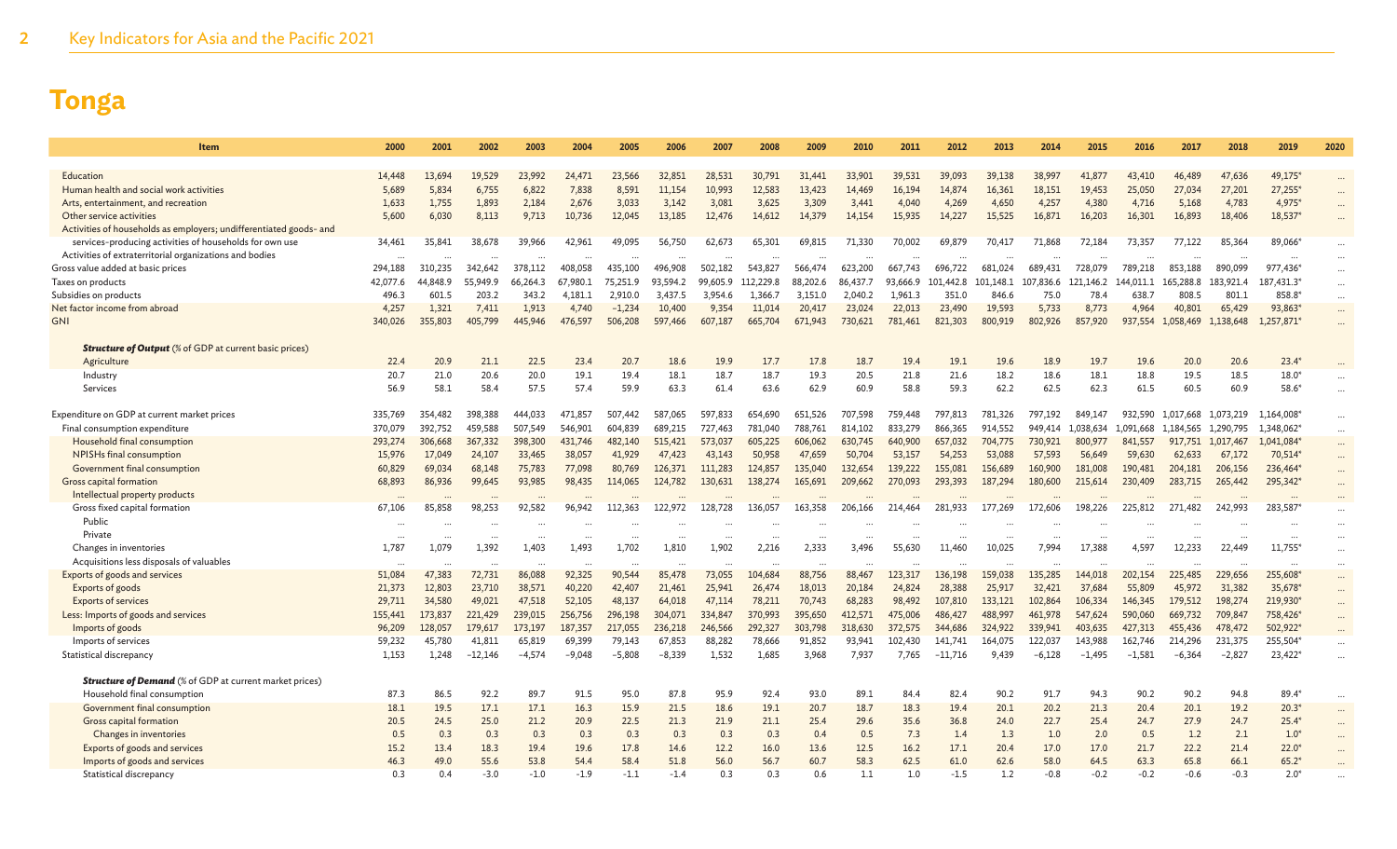| <b>Item</b>                                                                                                        | 2000     | 2001     | 2002      | 2003     | 2004     | 2005     | 2006     | 2007     | 2008      | 2009     | 2010     | 2011     | 2012      | 2013      | 2014      | 2015      | 2016      | 2017      | 2018      | 2019       | 2020      |
|--------------------------------------------------------------------------------------------------------------------|----------|----------|-----------|----------|----------|----------|----------|----------|-----------|----------|----------|----------|-----------|-----------|-----------|-----------|-----------|-----------|-----------|------------|-----------|
|                                                                                                                    |          |          |           |          |          |          |          |          |           |          |          |          |           |           |           |           |           |           |           |            |           |
| Education                                                                                                          | 14,448   | 13.694   | 19.529    | 23,992   | 24,471   | 23.566   | 32,851   | 28,531   | 30,791    | 31,441   | 33,901   | 39,531   | 39,093    | 39,138    | 38,997    | 41,877    | 43,410    | 46,489    | 47,636    | 49.175*    |           |
| Human health and social work activities                                                                            | 5,689    | 5,834    | 6,755     | 6,822    | 7,838    | 8,591    | 11,154   | 10,993   | 12,583    | 13,423   | 14,469   | 16,194   | 14,874    | 16,361    | 18,151    | 19,453    | 25,050    | 27,034    | 27,201    | 27,255     |           |
| Arts, entertainment, and recreation                                                                                | 1,633    | 1,755    | 1,893     | 2,184    | 2,676    | 3,033    | 3,142    | 3,081    | 3,625     | 3,309    | 3,441    | 4,040    | 4,269     | 4,650     | 4,257     | 4,380     | 4,716     | 5,168     | 4,783     | 4,975*     |           |
| Other service activities                                                                                           | 5,600    | 6,030    | 8,113     | 9,713    | 10,736   | 12,045   | 13,185   | 12,476   | 14,612    | 14,379   | 14,154   | 15,935   | 14,227    | 15,525    | 16,871    | 16,203    | 16,301    | 16,893    | 18,406    | 18,537*    | $\cdots$  |
| Activities of households as employers; undifferentiated goods- and                                                 |          |          |           |          |          |          |          |          |           |          |          |          |           |           |           |           |           |           |           |            |           |
| services-producing activities of households for own use<br>Activities of extraterritorial organizations and bodies | 34,461   | 35,841   | 38,678    | 39,966   | 42,961   | 49.095   | 56,750   | 62,673   | 65,301    | 69.815   | 71,330   | 70,002   | 69.879    | 70,417    | 71,868    | 72.184    | 73,357    | 77,122    | 85,364    | 89.066*    |           |
| Gross value added at basic prices                                                                                  | 294,188  | 310,235  | 342,642   | 378,112  | 408.058  | 435.100  | 496.908  | 502.182  | 543,827   | 566,474  | 623,200  | 667.743  | 696.722   | 681.024   | 689.431   | 728,079   | 789,218   | 853,188   | 890,099   | 977,436    |           |
| Taxes on products                                                                                                  | 42.077.6 | 44,848.9 | 55,949.9  | 66.264.3 | 67.980.1 | 75.251.9 | 93.594.2 | 99,605.9 | 112,229.8 | 88,202.6 | 86,437.7 | 93.666.9 | 101,442.8 | 101.148.1 | 107.836.6 | 121.146.2 | 144.011.1 | 165,288.8 | 183,921.4 | 187,431.3* | $\cdots$  |
| Subsidies on products                                                                                              | 496.3    | 601.5    | 203.2     | 343.2    | 4.181.1  | 2.910.0  | 3,437.5  | 3,954.6  | 1,366.7   | 3,151.0  | 2,040.2  | 1,961.3  | 351.0     | 846.6     | 75.0      | 78.4      | 638.      | 808.5     | 801.1     | 858.8*     | $\cdots$  |
| Net factor income from abroad                                                                                      | 4,257    | 1,321    | 7,411     | 1,913    | 4,740    | $-1,234$ | 10,400   | 9,354    | 11,014    | 20,417   | 23,024   | 22,013   | 23,490    | 19,593    | 5,733     | 8,773     | 4,964     | 40,801    | 65,429    | 93,863     | $\cdots$  |
| <b>GNI</b>                                                                                                         | 340,026  | 355,803  | 405,799   | 445,946  | 476,597  | 506.208  | 597,466  | 607,187  | 665,704   | 671,943  | 730,621  | 781.461  | 821,303   | 800,919   | 802.926   | 857,920   | 937,554   | 1,058,469 | 1.138,648 | 1.257.871  | $\cdots$  |
|                                                                                                                    |          |          |           |          |          |          |          |          |           |          |          |          |           |           |           |           |           |           |           |            |           |
| <b>Structure of Output</b> (% of GDP at current basic prices)                                                      |          |          |           |          |          |          |          |          |           |          |          |          |           |           |           |           |           |           |           |            |           |
| Agriculture                                                                                                        | 22.4     | 20.9     | 21.1      | 22.5     | 23.4     | 20.7     | 18.6     | 19.9     | 17.7      | 17.8     | 18.7     | 19.4     | 19.1      | 19.6      | 18.9      | 19.7      | 19.6      | 20.0      | 20.6      | $23.4*$    |           |
| Industry                                                                                                           | 20.7     | 21.0     | 20.6      | 20.0     | 19.1     | 19.4     | 18.1     | 18.7     | 18.7      | 19.3     | 20.5     | 21.8     | 21.6      | 18.2      | 18.6      | 18.1      | 18.8      | 19.5      | 18.5      | $18.0*$    |           |
| Services                                                                                                           | 56.9     | 58.1     | 58.4      | 57.5     | 57.4     | 59.9     | 63.3     | 61.4     | 63.6      | 62.9     | 60.9     | 58.8     | 59.3      | 62.2      | 62.5      | 62.3      | 61.5      | 60.5      | 60.9      | 58.6       | $\ddotsc$ |
|                                                                                                                    |          |          |           |          |          |          |          |          |           |          |          |          |           |           |           |           |           |           |           |            |           |
| Expenditure on GDP at current market prices                                                                        | 335,769  | 354,482  | 398,388   | 444,033  | 471.857  | 507.442  | 587,065  | 597,833  | 654,690   | 651,526  | 707,598  | 759,448  | 797,813   | 781.326   | 797.192   | 849,147   | 932.590   | 1.017.668 | 1,073,219 | 1,164,008* | $\cdots$  |
| Final consumption expenditure                                                                                      | 370,079  | 392,752  | 459,588   | 507,549  | 546,901  | 604,839  | 689,215  | 727,463  | 781,040   | 788,761  | 814,102  | 833,279  | 866,365   | 914,552   | 949,414   | 1,038,634 | 1,091,668 | 1,184,565 | 1,290,795 | 1,348,062* | $\cdots$  |
| Household final consumption                                                                                        | 293,274  | 306,668  | 367,332   | 398,300  | 431,746  | 482,140  | 515,421  | 573,037  | 605,225   | 606,062  | 630,745  | 640,900  | 657,032   | 704,775   | 730,921   | 800,977   | 841,557   | 917,751   | 1,017,467 | 1,041,084* |           |
| <b>NPISHs final consumption</b>                                                                                    | 15,976   | 17,049   | 24,107    | 33,465   | 38,057   | 41,929   | 47,423   | 43,143   | 50,958    | 47,659   | 50,704   | 53,157   | 54,253    | 53,088    | 57,593    | 56,649    | 59,630    | 62,633    | 67,172    | 70,514*    | $\cdots$  |
| Government final consumption                                                                                       | 60,829   | 69,034   | 68,148    | 75,783   | 77,098   | 80,769   | 126.371  | 111,283  | 124,857   | 135,040  | 132,654  | 139,222  | 155,081   | 156,689   | 160,900   | 181,008   | 190,481   | 204,181   | 206,156   | 236,464*   | $\cdots$  |
| Gross capital formation                                                                                            | 68,893   | 86,936   | 99.645    | 93,985   | 98,435   | 114,065  | 124,782  | 130,631  | 138,274   | 165.691  | 209,662  | 270,093  | 293,393   | 187,294   | 180,600   | 215,614   | 230,409   | 283,715   | 265,442   | 295,342*   | $\cdots$  |
| Intellectual property products                                                                                     |          |          | $\cdots$  |          |          |          |          |          |           |          |          |          |           |           |           |           |           |           |           |            |           |
| Gross fixed capital formation                                                                                      | 67,106   | 85,858   | 98.253    | 92,582   | 96.942   | 112.363  | 122,972  | 128,728  | 136,057   | 163.358  | 206,166  | 214.464  | 281.933   | 177,269   | 172,606   | 198,226   | 225,812   | 271,482   | 242,993   | 283,587    | $\cdots$  |
| Public                                                                                                             | $\cdots$ |          |           |          |          |          |          |          |           |          |          |          |           |           |           |           |           |           |           |            | $\cdots$  |
| Private                                                                                                            |          |          |           |          |          |          |          |          |           |          |          |          |           |           |           |           |           |           |           |            | $\ddotsc$ |
| Changes in inventories                                                                                             | 1.787    | 1,079    | 1.392     | 1.403    | 1.493    | 1.702    | 1.810    | 1.902    | 2,216     | 2,333    | 3.496    | 55,630   | 11.460    | 10,025    | 7,994     | 17.388    | 4.597     | 12,233    | 22,449    | 11,755     | $\cdots$  |
| Acquisitions less disposals of valuables                                                                           |          |          |           |          |          |          |          |          |           |          |          |          |           |           |           |           |           |           |           |            |           |
| Exports of goods and services                                                                                      | 51,084   | 47,383   | 72,731    | 86,088   | 92,325   | 90,544   | 85,478   | 73,055   | 104,684   | 88,756   | 88,467   | 123,317  | 136,198   | 159,038   | 135,285   | 144,018   | 202,154   | 225,485   | 229,656   | 255,608    | $\cdots$  |
| Exports of goods                                                                                                   | 21,373   | 12,803   | 23,710    | 38,571   | 40,220   | 42,407   | 21,461   | 25,941   | 26,474    | 18,013   | 20,184   | 24,824   | 28,388    | 25,917    | 32,421    | 37,684    | 55,809    | 45,972    | 31,382    | 35,678*    | $\cdots$  |
| <b>Exports of services</b>                                                                                         | 29,711   | 34,580   | 49,021    | 47,518   | 52,105   | 48.137   | 64,018   | 47,114   | 78,211    | 70,743   | 68,283   | 98,492   | 107,810   | 133,121   | 102,864   | 106,334   | 146,345   | 179,512   | 198,274   | 219,930*   |           |
| Less: Imports of goods and services                                                                                | 155,441  | 173,837  | 221,429   | 239,015  | 256,756  | 296,198  | 304,071  | 334,847  | 370,993   | 395,650  | 412,571  | 475,006  | 486,427   | 488,997   | 461,978   | 547,624   | 590,060   | 669,732   | 709,847   | 758,426*   | $\cdots$  |
| Imports of goods                                                                                                   | 96,209   | 128,057  | 179,617   | 173,197  | 187,357  | 217,055  | 236,218  | 246,566  | 292,327   | 303,798  | 318,630  | 372,575  | 344,686   | 324,922   | 339,941   | 403,635   | 427,313   | 455,436   | 478,472   | 502,922*   |           |
| Imports of services                                                                                                | 59,232   | 45,780   | 41,811    | 65,819   | 69,399   | 79,143   | 67,853   | 88,282   | 78,666    | 91,852   | 93,941   | 102,430  | 141.741   | 164,075   | 122,037   | 143,988   | 162,746   | 214,296   | 231,375   | 255,504*   |           |
| Statistical discrepancy                                                                                            | 1.153    | 1.248    | $-12.146$ | $-4.574$ | $-9.048$ | $-5.808$ | $-8.339$ | 1.532    | 1.685     | 3.968    | 7.937    | 7.765    | $-11.716$ | 9.439     | $-6.128$  | $-1.495$  | $-1.581$  | $-6.364$  | $-2.827$  | 23.422     |           |
| <b>Structure of Demand</b> (% of GDP at current market prices)                                                     |          |          |           |          |          |          |          |          |           |          |          |          |           |           |           |           |           |           |           |            |           |
| Household final consumption                                                                                        | 87.3     | 86.5     | 92.2      | 89.7     | 91.5     | 95.0     | 87.8     | 95.9     | 92.4      | 93.0     | 89.1     | 84.4     | 82.4      | 90.2      | 91.7      | 94.3      | 90.2      | 90.2      | 94.8      | 89.4*      | $\cdots$  |
| Government final consumption                                                                                       | 18.1     | 19.5     | 17.1      | 17.1     | 16.3     | 15.9     | 21.5     | 18.6     | 19.1      | 20.7     | 18.7     | 18.3     | 19.4      | 20.1      | 20.2      | 21.3      | 20.4      | 20.1      | 19.2      | $20.3*$    |           |
| Gross capital formation                                                                                            | 20.5     | 24.5     | 25.0      | 21.2     | 20.9     | 22.5     | 21.3     | 21.9     | 21.1      | 25.4     | 29.6     | 35.6     | 36.8      | 24.0      | 22.7      | 25.4      | 24.7      | 27.9      | 24.7      | $25.4*$    |           |
| Changes in inventories                                                                                             | 0.5      | 0.3      | 0.3       | 0.3      | 0.3      | 0.3      | 0.3      | 0.3      | 0.3       | 0.4      | 0.5      | 7.3      | 1.4       | 1.3       | 1.0       | 2.0       | 0.5       | 1.2       | 2.1       | $1.0^*$    | $\cdots$  |
| Exports of goods and services                                                                                      | 15.2     | 13.4     | 18.3      | 19.4     | 19.6     | 17.8     | 14.6     | 12.2     | 16.0      | 13.6     | 12.5     | 16.2     | 17.1      | 20.4      | 17.0      | 17.0      | 21.7      | 22.2      | 21.4      | $22.0*$    |           |
| Imports of goods and services                                                                                      | 46.3     | 49.0     | 55.6      | 53.8     | 54.4     | 58.4     | 51.8     | 56.0     | 56.7      | 60.7     | 58.3     | 62.5     | 61.0      | 62.6      | 58.0      | 64.5      | 63.3      | 65.8      | 66.1      | $65.2*$    |           |
| Statistical discrepancy                                                                                            | 0.3      | 0.4      | $-3.0$    | $-1.0$   | $-1.9$   | $-1.1$   | $-1.4$   | 0.3      | 0.3       | 0.6      | 1.1      | 1.0      | $-1.5$    | 1.2       | $-0.8$    | $-0.2$    | $-0.2$    | $-0.6$    | $-0.3$    | $2.0*$     |           |
|                                                                                                                    |          |          |           |          |          |          |          |          |           |          |          |          |           |           |           |           |           |           |           |            |           |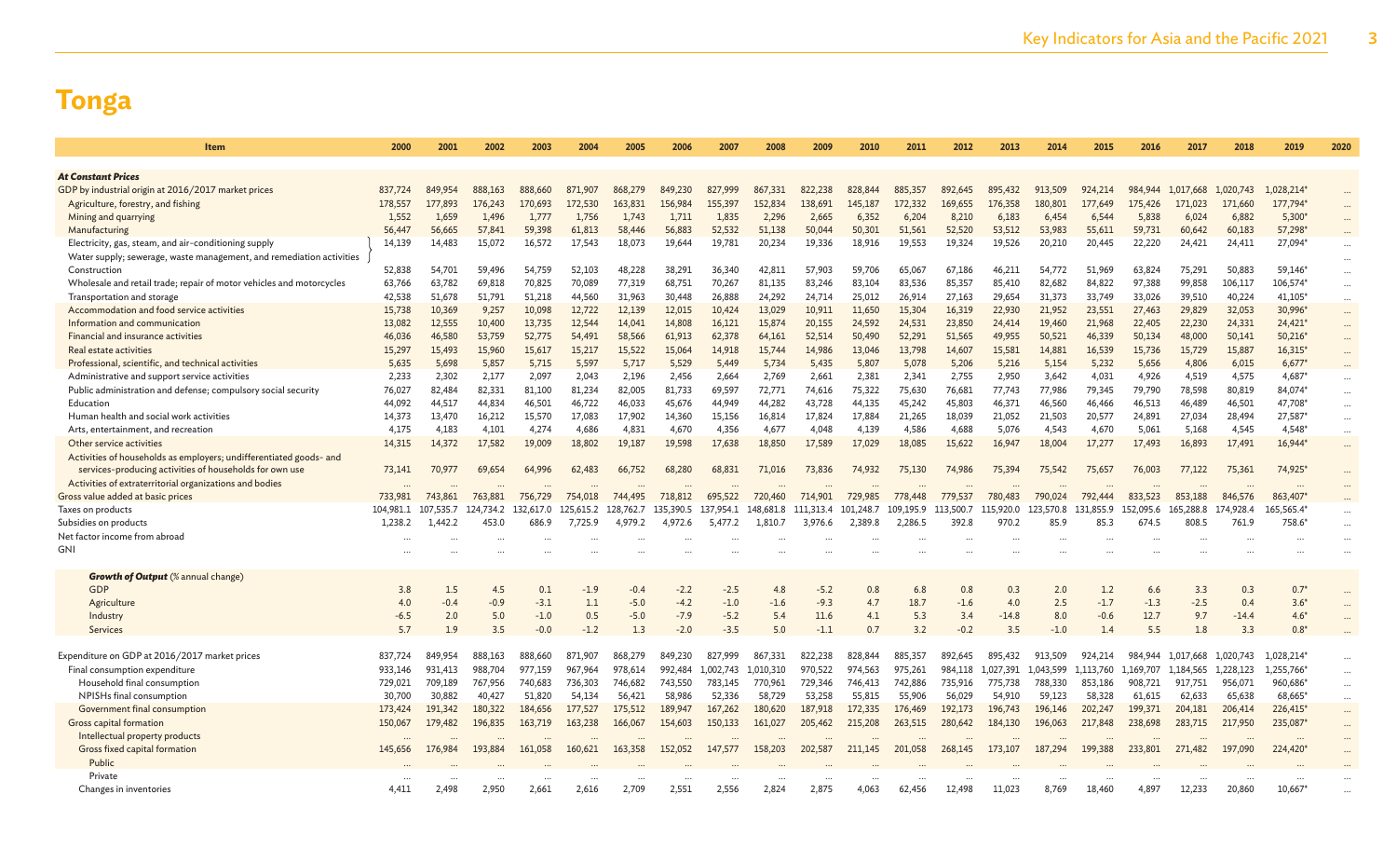| Item                                                                 | 2000       | 2001          | 2002          | 2003          | 2004       | 2005             | 2006             | 2007             | 2008          | 2009             | 2010       | 2011        | 2012          | 2013       | 2014       | 2015          | 2016           | 2017          | 2018       | 2019             | 2020     |
|----------------------------------------------------------------------|------------|---------------|---------------|---------------|------------|------------------|------------------|------------------|---------------|------------------|------------|-------------|---------------|------------|------------|---------------|----------------|---------------|------------|------------------|----------|
|                                                                      |            |               |               |               |            |                  |                  |                  |               |                  |            |             |               |            |            |               |                |               |            |                  |          |
| <b>At Constant Prices</b>                                            |            |               |               |               |            |                  |                  |                  |               |                  |            |             |               |            |            |               |                |               |            |                  |          |
| GDP by industrial origin at 2016/2017 market prices                  | 837,724    | 849.954       | 888,163       | 888,660       | 871,907    | 868,279          | 849,230          | 827,999          | 867,331       | 822,238          | 828,844    | 885,357     | 892,645       | 895,432    | 913.509    | 924,214       | 984,944        | 1.017.668     | 1.020.743  | 1,028,214*       | $\cdots$ |
| Agriculture, forestry, and fishing                                   | 178,557    | 177,893       | 176,243       | 170,693       | 172,530    | 163,831          | 156,984          | 155,397          | 152,834       | 138,691          | 145,187    | 172.332     | 169,655       | 176,358    | 180,801    | 177,649       | 175,426        | 171,023       | 171,660    | 177,794*         |          |
| Mining and quarrying                                                 | 1,552      | 1,659         | 1,496         | 1,777         | 1,756      | 1,743            | 1,711            | 1,835            | 2,296         | 2,665            | 6,352      | 6,204       | 8,210         | 6,183      | 6,454      | 6,544         | 5,838          | 6,024         | 6,882      | $5,300*$         | $\cdots$ |
| Manufacturing                                                        | 56,447     | 56,665        | 57,841        | 59,398        | 61,813     | 58,446           | 56,883           | 52.532           | 51.138        | 50,044           | 50,301     | 51,561      | 52,520        | 53.512     | 53,983     | 55,611        | 59,731         | 60,642        | 60,183     | 57,298           |          |
| Electricity, gas, steam, and air-conditioning supply                 | 14,139     | 14,483        | 15,072        | 16,572        | 17,543     | 18,073           | 19,644           | 19,781           | 20,234        | 19,336           | 18,916     | 19,553      | 19,324        | 19,526     | 20,210     | 20,445        | 22,220         | 24,421        | 24,411     | 27,094*          | $\cdots$ |
| Water supply; sewerage, waste management, and remediation activities |            |               |               |               |            |                  |                  |                  |               |                  |            |             |               |            |            |               |                |               |            |                  |          |
| Construction                                                         | 52,838     | 54,701        | 59,496        | 54,759        | 52,103     | 48,228           | 38,291           | 36,340           | 42,811        | 57,903           | 59,706     | 65,067      | 67,186        | 46,211     | 54,772     | 51,969        | 63,824         | 75,291        | 50,883     | 59,146*          | $\cdots$ |
| Wholesale and retail trade; repair of motor vehicles and motorcycles | 63,766     | 63,782        | 69,818        | 70,825        | 70,089     | 77,319           | 68,751           | 70,267           | 81,135        | 83,246           | 83,104     | 83,536      | 85,357        | 85,410     | 82,682     | 84,822        | 97,388         | 99,858        | 106,117    | 106,574*         |          |
| Transportation and storage                                           | 42,538     | 51,678        | 51,791        | 51,218        | 44,560     | 31,963           | 30,448           | 26,888           | 24,292        | 24,714           | 25,012     | 26,914      | 27,163        | 29,654     | 31,373     | 33,749        | 33,026         | 39,510        | 40,224     | 41,105*          | $\cdots$ |
| Accommodation and food service activities                            | 15,738     | 10,369        | 9,257         | 10,098        | 12,722     | 12,139           | 12,015           | 10,424           | 13,029        | 10,911           | 11,650     | 15,304      | 16,319        | 22,930     | 21,952     | 23,551        | 27,463         | 29,829        | 32,053     | 30,996*          | $\cdots$ |
| Information and communication                                        | 13,082     | 12,555        | 10,400        | 13,735        | 12,544     | 14,041           | 14,808           | 16,121           | 15,874        | 20,155           | 24,592     | 24,531      | 23,850        | 24,414     | 19,460     | 21,968        | 22,405         | 22,230        | 24,331     | 24,421*          | $\cdots$ |
| Financial and insurance activities                                   | 46,036     | 46,580        | 53,759        | 52,775        | 54,491     | 58,566           | 61.913           | 62,378           | 64,161        | 52,514           | 50,490     | 52,291      | 51,565        | 49,955     | 50,521     | 46,339        | 50,134         | 48,000        | 50,141     | $50,216*$        | $\cdots$ |
| Real estate activities                                               | 15,297     | 15,493        | 15,960        | 15,617        | 15,217     | 15,522           | 15,064           | 14,918           | 15,744        | 14,986           | 13,046     | 13,798      | 14,607        | 15,581     | 14,881     | 16,539        | 15,736         | 15,729        | 15,887     | 16,315*          | $\cdots$ |
| Professional, scientific, and technical activities                   | 5,635      | 5,698         | 5,857         | 5,715         | 5,597      | 5,717            | 5,529            | 5,449            | 5,734         | 5,435            | 5,807      | 5,078       | 5,206         | 5,216      | 5,154      | 5,232         | 5,656          | 4,806         | 6,015      | $6,677*$         | $\cdots$ |
| Administrative and support service activities                        | 2.233      | 2,302         | 2,177         | 2,097         | 2,043      | 2,196            | 2,456            | 2,664            | 2,769         | 2,661            | 2,381      | 2,341       | 2,755         | 2,950      | 3,642      | 4,031         | 4,926          | 4,519         | 4,575      | 4,687*           | $\cdots$ |
| Public administration and defense; compulsory social security        | 76,027     | 82,484        | 82,331        | 81,100        | 81,234     | 82,005           | 81,733           | 69,597           | 72,771        | 74,616           | 75,322     | 75,630      | 76,681        | 77,743     | 77,986     | 79,345        | 79,790         | 78,598        | 80,819     | 84,074*          | $\cdots$ |
| Education                                                            | 44.092     | 44,517        | 44,834        | 46,501        | 46,722     | 46,033           | 45,676           | 44,949           | 44,282        | 43,728           | 44,135     | 45,242      | 45,803        | 46,371     | 46,560     | 46,466        | 46,513         | 46,489        | 46,501     | 47,708*          | $\cdots$ |
| Human health and social work activities                              | 14,373     | 13,470        | 16,212        | 15,570        | 17,083     | 17,902           | 14,360           | 15,156           | 16,814        | 17,824           | 17,884     | 21,265      | 18,039        | 21,052     | 21,503     | 20,577        | 24,891         | 27,034        | 28,494     | 27,587*          | $\cdots$ |
| Arts, entertainment, and recreation                                  | 4.175      | 4,183         | 4.101         | 4,274         | 4,686      | 4,831            | 4.670            | 4,356            | 4,677         | 4.048            | 4,139      | 4,586       | 4,688         | 5,076      | 4.543      | 4,670         | 5,061          | 5,168         | 4,545      | $4.548*$         | $\cdots$ |
| Other service activities                                             | 14,315     | 14,372        | 17,582        | 19,009        | 18,802     | 19,187           | 19,598           | 17,638           | 18,850        | 17,589           | 17,029     | 18,085      | 15,622        | 16,947     | 18,004     | 17,277        | 17,493         | 16,893        | 17,491     | 16,944*          | $\cdots$ |
| Activities of households as employers; undifferentiated goods- and   |            |               |               |               |            |                  |                  |                  |               |                  |            |             |               |            |            |               |                |               |            |                  |          |
| services-producing activities of households for own use              | 73,141     | 70,977        | 69.654        | 64,996        | 62,483     | 66,752           | 68,280           | 68,831           | 71,016        | 73,836           | 74,932     | 75,130      | 74,986        | 75,394     | 75,542     | 75,657        | 76,003         | 77,122        | 75,361     | 74,925*          | $\cdots$ |
| Activities of extraterritorial organizations and bodies              |            |               |               |               |            |                  |                  |                  |               |                  |            |             |               |            |            |               |                |               |            |                  |          |
| Gross value added at basic prices                                    | 733,981    | 743,861       | 763,881       | 756,729       | 754,018    | 744,495          | 718,812          | 695,522          | 720,460       | 714,901          | 729,985    | 778,448     | 779,537       | 780,483    | 790,024    | 792,444       | 833,523        | 853,188       | 846,576    | 863,407*         |          |
| Taxes on products                                                    | 104,981.1  | 107.535.7     | 124,734.2     | 132,617.0     | 125.615.2  | 128,762.7        | 135,390.5        | 137,954.1        | 148,681.8     | 111,313.4        | 101.248.7  | 109,195.9   | 113,500.7     | 115,920.0  | 123,570.8  | 131,855.9     | 152.095.6      | 165,288.8     | 174,928.4  | 165,565.4        |          |
| Subsidies on products                                                | 1.238.2    | 1.442.2       | 453.0         | 686.9         | 7,725.9    | 4.979.2          | 4.972.6          | 5,477.2          | 1.810.7       | 3,976.6          | 2,389.8    | 2,286.5     | 392.8         | 970.2      | 85.9       | 85.3          | 674.5          | 808.5         | 761.9      | 758.6            | $\cdots$ |
| Net factor income from abroad                                        |            |               |               |               |            |                  |                  |                  |               |                  |            |             |               |            |            |               |                |               |            |                  |          |
| <b>GNI</b>                                                           |            |               |               |               |            |                  |                  |                  |               |                  |            |             |               |            |            |               |                |               |            |                  |          |
|                                                                      |            |               |               |               |            |                  |                  |                  |               |                  |            |             |               |            |            |               |                |               |            |                  |          |
| <b>Growth of Output</b> (% annual change)<br>GDP                     |            |               |               |               |            |                  |                  |                  | 4.8           |                  |            |             |               |            |            |               |                |               |            |                  |          |
|                                                                      | 3.8<br>4.0 | 1.5<br>$-0.4$ | 4.5<br>$-0.9$ | 0.1<br>$-3.1$ | $-1.9$     | $-0.4$<br>$-5.0$ | $-2.2$           | $-2.5$           |               | $-5.2$<br>$-9.3$ | 0.8<br>4.7 | 6.8<br>18.7 | 0.8           | 0.3<br>4.0 | 2.0<br>2.5 | 1.2<br>$-1.7$ | 6.6            | 3.3<br>$-2.5$ | 0.3<br>0.4 | $0.7*$<br>$3.6*$ |          |
| Agriculture                                                          | $-6.5$     | 2.0           | 5.0           | $-1.0$        | 1.1<br>0.5 | $-5.0$           | $-4.2$<br>$-7.9$ | $-1.0$<br>$-5.2$ | $-1.6$<br>5.4 | 11.6             | 4.1        | 5.3         | $-1.6$<br>3.4 | $-14.8$    | 8.0        | $-0.6$        | $-1.3$<br>12.7 | 9.7           | $-14.4$    | $4.6*$           |          |
| Industry                                                             |            | 1.9           |               |               |            |                  |                  | $-3.5$           |               |                  | 0.7        | 3.2         | $-0.2$        |            |            | 1.4           |                |               |            |                  |          |
| Services                                                             | 5.7        |               | 3.5           | $-0.0$        | $-1.2$     | 1.3              | $-2.0$           |                  | 5.0           | $-1.1$           |            |             |               | 3.5        | $-1.0$     |               | 5.5            | 1.8           | 3.3        | $0.8*$           |          |
| Expenditure on GDP at 2016/2017 market prices                        | 837,724    | 849,954       | 888,163       | 888,660       | 871,907    | 868,279          | 849,230          | 827.999          | 867,331       | 822.238          | 828,844    | 885,357     | 892.645       | 895.432    | 913.509    | 924.214       | 984.944        | 1.017.668     | 1,020,743  | 1,028,214*       |          |
| Final consumption expenditure                                        | 933.146    | 931,413       | 988.704       | 977.159       | 967,964    | 978,614          | 992.484          | 1,002,743        | 1.010.310     | 970,522          | 974,563    | 975,261     | 984.118       | 1.027.391  | 1.043.599  | 1.113.760     | 1.169.707      | 1.184.565     | 1.228.123  | 1,255,766*       | $\cdots$ |
| Household final consumption                                          | 729,021    | 709,189       | 767,956       | 740,683       | 736,303    | 746,682          | 743,550          | 783,145          | 770,961       | 729,346          | 746,413    | 742,886     | 735,916       | 775,738    | 788,330    | 853,186       | 908,721        | 917,751       | 956,071    | 960,686*         |          |
| NPISHs final consumption                                             | 30,700     | 30,882        | 40,427        | 51,820        | 54,134     | 56,421           | 58,986           | 52,336           | 58,729        | 53,258           | 55,815     | 55,906      | 56,029        | 54,910     | 59,123     | 58,328        | 61,615         | 62,633        | 65,638     | 68,665*          | $\cdots$ |
| Government final consumption                                         | 173,424    | 191.342       | 180,322       | 184,656       | 177,527    | 175,512          | 189,947          | 167,262          | 180,620       | 187,918          | 172,335    | 176,469     | 192,173       | 196,743    | 196,146    | 202,247       | 199.371        | 204,181       | 206,414    | 226,415*         | $\cdots$ |
| Gross capital formation                                              | 150,067    | 179,482       | 196,835       | 163,719       | 163,238    | 166,067          | 154,603          | 150,133          | 161,027       | 205,462          | 215,208    | 263,515     | 280,642       | 184,130    | 196,063    | 217,848       | 238,698        | 283,715       | 217,950    | 235,087          | $\cdots$ |
| Intellectual property products                                       |            |               |               |               |            |                  |                  |                  |               |                  |            |             |               |            |            |               |                |               |            |                  | $\cdots$ |
| Gross fixed capital formation                                        | 145,656    | 176,984       | 193,884       | 161,058       | 160,621    | 163,358          | 152,052          | 147,577          | 158,203       | 202,587          | 211,145    | 201,058     | 268,145       | 173,107    | 187,294    | 199,388       | 233,801        | 271,482       | 197,090    | 224,420          | $\cdots$ |
| Public                                                               |            |               |               |               |            |                  |                  |                  |               |                  |            |             |               |            |            |               |                |               |            |                  |          |
| Private                                                              |            |               |               |               |            |                  |                  |                  |               |                  |            |             |               |            |            |               |                |               |            |                  |          |
| Changes in inventories                                               | 4,411      | 2,498         | 2,950         | 2,661         | 2,616      | 2,709            | 2,551            | 2,556            | 2,824         | 2,875            | 4,063      | 62,456      | 12,498        | 11,023     | 8,769      | 18,460        | 4,897          | 12,233        | 20,860     | 10,667           |          |
|                                                                      |            |               |               |               |            |                  |                  |                  |               |                  |            |             |               |            |            |               |                |               |            |                  |          |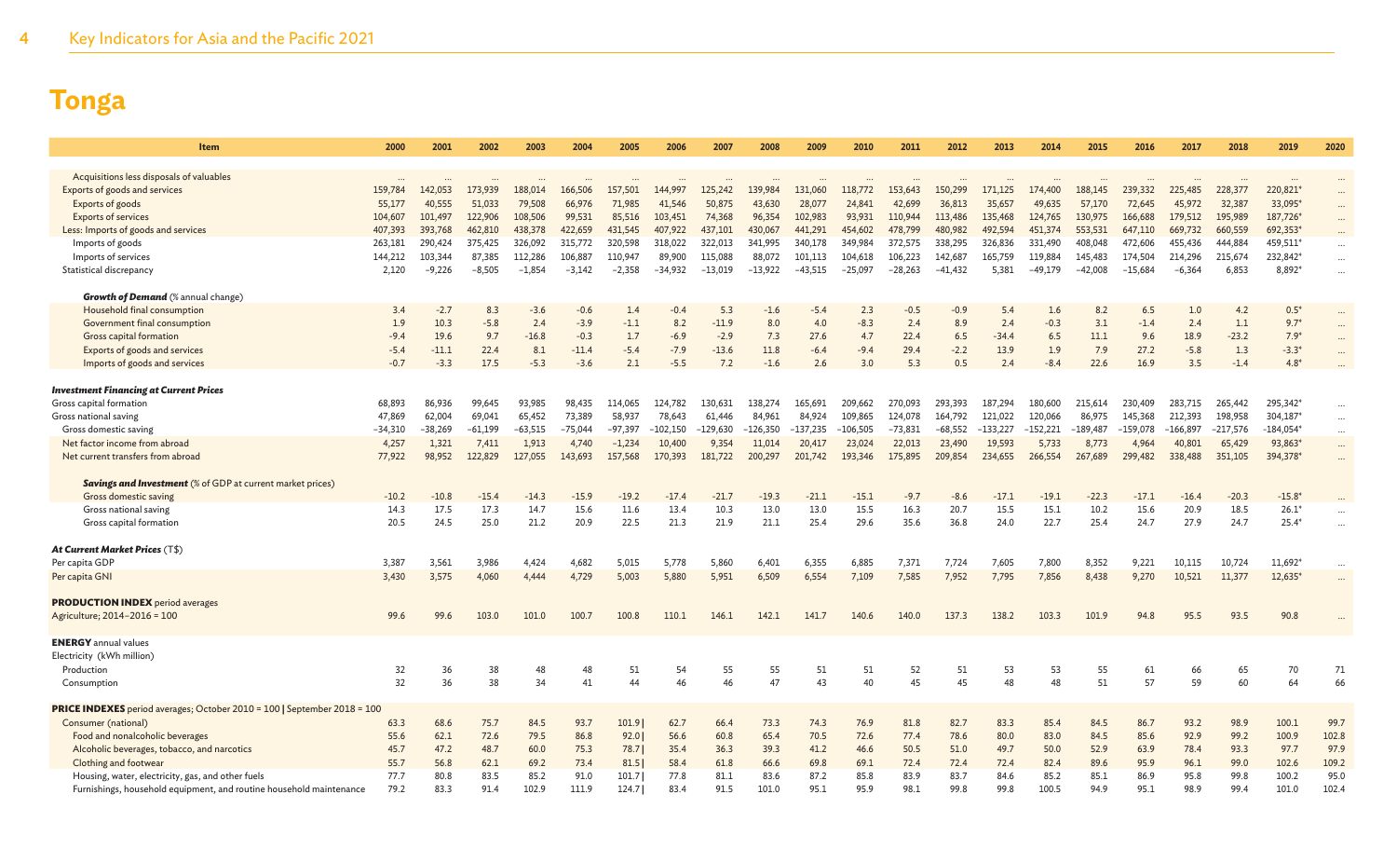| Item                                                                     | 2000              | 2001              | 2002              | 2003              | 2004             | 2005                | 2006                 | 2007             | 2008              | 2009              | 2010              | 2011              | 2012              | 2013              | 2014              | 2015              | 2016              | 2017              | 2018              | 2019                | 2020      |
|--------------------------------------------------------------------------|-------------------|-------------------|-------------------|-------------------|------------------|---------------------|----------------------|------------------|-------------------|-------------------|-------------------|-------------------|-------------------|-------------------|-------------------|-------------------|-------------------|-------------------|-------------------|---------------------|-----------|
|                                                                          |                   |                   |                   |                   |                  |                     |                      |                  |                   |                   |                   |                   |                   |                   |                   |                   |                   |                   |                   |                     |           |
| Acquisitions less disposals of valuables                                 | $\cdots$          |                   |                   |                   |                  |                     |                      |                  |                   |                   |                   |                   |                   |                   |                   |                   |                   |                   |                   |                     |           |
| Exports of goods and services                                            | 159,784           | 142,053           | 173,939           | 188,014           | 166,506          | 157,501             | 144,997              | 125,242          | 139,984           | 131,060           | 118,772           | 153,643           | 150,299           | 171,125           | 174,400           | 188,145           | 239,332           | 225,485           | 228,377           | 220,821*            | $\cdots$  |
| Exports of goods<br><b>Exports of services</b>                           | 55,177<br>104,607 | 40,555<br>101,497 | 51,033<br>122,906 | 79,508<br>108,506 | 66,976<br>99,531 | 71,985<br>85,516    | 41,546<br>103,451    | 50,875<br>74,368 | 43,630<br>96,354  | 28,077<br>102,983 | 24,841<br>93,931  | 42,699<br>110,944 | 36,813<br>113,486 | 35,657<br>135,468 | 49,635<br>124,765 | 57,170<br>130,975 | 72,645<br>166,688 | 45,972<br>179,512 | 32,387<br>195,989 | 33,095<br>187,726   |           |
|                                                                          | 407,393           | 393,768           | 462,810           | 438,378           | 422,659          | 431,545             | 407,922              | 437,101          | 430,067           | 441,291           | 454,602           | 478,799           | 480,982           | 492,594           | 451,374           | 553,531           | 647,110           | 669,732           | 660,559           | 692,353'            |           |
| Less: Imports of goods and services<br>Imports of goods                  | 263,181           | 290,424           | 375,425           | 326,092           | 315,772          | 320,598             | 318,022              | 322,013          | 341.995           | 340,178           | 349,984           | 372,575           | 338,295           | 326,836           | 331,490           | 408,048           | 472,606           | 455,436           | 444,884           | 459,511*            |           |
| Imports of services                                                      | 144,212           | 103,344           | 87,385            | 112,286           | 106,887          | 110,947             | 89,900               | 115,088          | 88,072            | 101,113           | 104,618           | 106,223           | 142,687           | 165,759           | 119,884           | 145,483           | 174,504           | 214,296           | 215,674           | 232,842*            |           |
| Statistical discrepancy                                                  | 2,120             | $-9,226$          | $-8,505$          | $-1,854$          | $-3,142$         | $-2,358$            | $-34,932$            | $-13,019$        | $-13,922$         | $-43,515$         | $-25,097$         | $-28,263$         | $-41,432$         | 5,381             | $-49,179$         | $-42,008$         | $-15,684$         | $-6,364$          | 6,853             | 8,892*              | $\ddotsc$ |
|                                                                          |                   |                   |                   |                   |                  |                     |                      |                  |                   |                   |                   |                   |                   |                   |                   |                   |                   |                   |                   |                     |           |
| <b>Growth of Demand</b> (% annual change)                                |                   |                   |                   |                   |                  |                     |                      |                  |                   |                   |                   |                   |                   |                   |                   |                   |                   |                   |                   |                     |           |
| Household final consumption                                              | 3.4               | $-2.7$            | 8.3               | $-3.6$            | $-0.6$           | 1.4                 | $-0.4$               | 5.3              | $-1.6$            | $-5.4$            | 2.3               | $-0.5$            | $-0.9$            | 5.4               | 1.6               | 8.2               | 6.5               | 1.0               | 4.2               | $0.5*$              | $\ddotsc$ |
| Government final consumption                                             | 1.9               | 10.3              | $-5.8$            | 2.4               | $-3.9$           | $-1.1$              | 8.2                  | $-11.9$          | 8.0               | 4.0               | $-8.3$            | 2.4               | 8.9               | 2.4               | $-0.3$            | 3.1               | $-1.4$            | 2.4               | 1.1               | $9.7*$              | $\cdots$  |
| Gross capital formation                                                  | $-9.4$            | 19.6              | 9.7               | $-16.8$           | $-0.3$           | 1.7                 | $-6.9$               | $-2.9$           | 7.3               | 27.6              | 4.7               | 22.4              | 6.5               | $-34.4$           | 6.5               | 11.1              | 9.6               | 18.9              | $-23.2$           | $7.9*$              | $\ddotsc$ |
| Exports of goods and services                                            | $-5.4$            | $-11.1$           | 22.4              | 8.1               | $-11.4$          | $-5.4$              | $-7.9$               | $-13.6$          | 11.8              | $-6.4$            | $-9.4$            | 29.4              | $-2.2$            | 13.9              | 1.9               | 7.9               | 27.2              | $-5.8$            | 1.3               | $-3.3*$             | $\ddotsc$ |
| Imports of goods and services                                            | $-0.7$            | $-3.3$            | 17.5              | $-5.3$            | $-3.6$           | 2.1                 | $-5.5$               | 7.2              | $-1.6$            | 2.6               | 3.0               | 5.3               | 0.5               | 2.4               | $-8.4$            | 22.6              | 16.9              | 3.5               | $-1.4$            | $4.8*$              |           |
|                                                                          |                   |                   |                   |                   |                  |                     |                      |                  |                   |                   |                   |                   |                   |                   |                   |                   |                   |                   |                   |                     |           |
| <b>Investment Financing at Current Prices</b>                            |                   |                   |                   |                   |                  |                     |                      |                  |                   |                   |                   |                   |                   |                   |                   |                   |                   |                   |                   |                     |           |
| Gross capital formation                                                  | 68.893            | 86,936            | 99.645            | 93.985            | 98,435           | 114,065             | 124,782              | 130.631          | 138,274           | 165.691           | 209.662           | 270.093           | 293.393           | 187,294           | 180,600           | 215,614           | 230,409           | 283.715           | 265,442           | 295,342*            | $\cdots$  |
| Gross national saving                                                    | 47,869            | 62,004            | 69,041            | 65,452            | 73,389           | 58,937              | 78,643               | 61,446           | 84,961            | 84,924            | 109,865           | 124,078           | 164,792           | 121,022           | 120,066           | 86,975            | 145,368           | 212,393           | 198,958           | 304,187             | $\cdots$  |
| Gross domestic saving                                                    | $-34,310$         | $-38,269$         | $-61,199$         | $-63,515$         | $-75,044$        | $-97.397$           | $-102,150$<br>10,400 | 129,630          | $-126,350$        | $-137,235$        | $-106,505$        | $-73,831$         | $-68,552$         | $-133,227$        | $-152,221$        | $-189,487$        | -159,078          | $-166,897$        | $-217,576$        | $-184,054*$         | $\cdots$  |
| Net factor income from abroad<br>Net current transfers from abroad       | 4,257<br>77,922   | 1,321<br>98,952   | 7,411<br>122,829  | 1,913<br>127,055  | 4,740<br>143,693 | $-1,234$<br>157,568 | 170,393              | 9,354<br>181,722 | 11,014<br>200,297 | 20,417<br>201,742 | 23,024<br>193,346 | 22,013<br>175,895 | 23,490<br>209,854 | 19,593<br>234,655 | 5,733<br>266,554  | 8,773<br>267,689  | 4,964<br>299,482  | 40,801<br>338,488 | 65,429<br>351,105 | 93,863*<br>394,378' | $\cdots$  |
|                                                                          |                   |                   |                   |                   |                  |                     |                      |                  |                   |                   |                   |                   |                   |                   |                   |                   |                   |                   |                   |                     | $\ddotsc$ |
| <b>Savings and Investment</b> (% of GDP at current market prices)        |                   |                   |                   |                   |                  |                     |                      |                  |                   |                   |                   |                   |                   |                   |                   |                   |                   |                   |                   |                     |           |
| Gross domestic saving                                                    | $-10.2$           | $-10.8$           | $-15.4$           | $-14.3$           | $-15.9$          | $-19.2$             | $-17.4$              | $-21.7$          | $-19.3$           | $-21.1$           | $-15.1$           | $-9.7$            | $-8.6$            | $-17.1$           | $-19.1$           | $-22.3$           | $-17.1$           | $-16.4$           | $-20.3$           | $-15.8*$            |           |
| Gross national saving                                                    | 14.3              | 17.5              | 17.3              | 14.7              | 15.6             | 11.6                | 13.4                 | 10.3             | 13.0              | 13.0              | 15.5              | 16.3              | 20.7              | 15.5              | 15.1              | 10.2              | 15.6              | 20.9              | 18.5              | $26.1*$             |           |
| Gross capital formation                                                  | 20.5              | 24.5              | 25.0              | 21.2              | 20.9             | 22.5                | 21.3                 | 21.9             | 21.1              | 25.4              | 29.6              | 35.6              | 36.8              | 24.0              | 22.7              | 25.4              | 24.7              | 27.9              | 24.7              | $25.4*$             | $\ddotsc$ |
|                                                                          |                   |                   |                   |                   |                  |                     |                      |                  |                   |                   |                   |                   |                   |                   |                   |                   |                   |                   |                   |                     |           |
| <b>At Current Market Prices (T\$)</b>                                    |                   |                   |                   |                   |                  |                     |                      |                  |                   |                   |                   |                   |                   |                   |                   |                   |                   |                   |                   |                     |           |
| Per capita GDP                                                           | 3,387             | 3,561             | 3,986             | 4,424             | 4,682            | 5,015               | 5,778                | 5,860            | 6,401             | 6,355             | 6,885             | 7,371             | 7,724             | 7,605             | 7,800             | 8,352             | 9,221             | 10,115            | 10,724            | 11,692*             |           |
| Per capita GNI                                                           | 3,430             | 3,575             | 4,060             | 4,444             | 4,729            | 5,003               | 5,880                | 5,951            | 6,509             | 6,554             | 7,109             | 7,585             | 7,952             | 7,795             | 7,856             | 8,438             | 9,270             | 10,521            | 11,377            | 12,635*             |           |
|                                                                          |                   |                   |                   |                   |                  |                     |                      |                  |                   |                   |                   |                   |                   |                   |                   |                   |                   |                   |                   |                     |           |
| <b>PRODUCTION INDEX</b> period averages                                  |                   |                   |                   |                   |                  |                     |                      |                  |                   |                   |                   |                   |                   |                   |                   |                   |                   |                   |                   |                     |           |
| Agriculture; 2014-2016 = 100                                             | 99.6              | 99.6              | 103.0             | 101.0             | 100.7            | 100.8               | 110.1                | 146.1            | 142.1             | 141.7             | 140.6             | 140.0             | 137.3             | 138.2             | 103.3             | 101.9             | 94.8              | 95.5              | 93.5              | 90.8                |           |
|                                                                          |                   |                   |                   |                   |                  |                     |                      |                  |                   |                   |                   |                   |                   |                   |                   |                   |                   |                   |                   |                     |           |
| <b>ENERGY</b> annual values                                              |                   |                   |                   |                   |                  |                     |                      |                  |                   |                   |                   |                   |                   |                   |                   |                   |                   |                   |                   |                     |           |
| Electricity (kWh million)                                                |                   |                   |                   |                   |                  |                     |                      |                  |                   |                   |                   |                   |                   |                   |                   |                   |                   |                   |                   |                     |           |
| Production                                                               | 32                | 36                | 38                | 48                |                  | 51                  | 54                   | 55               | 55                | 51                | 51                | 52                | 51                | 53                | 53                | 55                | 61                | 66                | 65                | 70                  | 71        |
| Consumption                                                              | 32                | 36                | 38                | 34                | 41               | 44                  | 46                   | 46               | 47                | 43                | 40                | 45                | 45                | 48                | 48                | 51                | 57                | 59                | 60                | 64                  | 66        |
| PRICE INDEXES period averages; October 2010 = 100   September 2018 = 100 |                   |                   |                   |                   |                  |                     |                      |                  |                   |                   |                   |                   |                   |                   |                   |                   |                   |                   |                   |                     |           |
| Consumer (national)                                                      | 63.3              | 68.6              | 75.7              | 84.5              | 93.7             | 101.9               | 62.7                 | 66.4             | 73.3              | 74.3              | 76.9              | 81.8              | 82.7              | 83.3              | 85.4              | 84.5              | 86.7              | 93.2              | 98.9              | 100.1               | 99.7      |
| Food and nonalcoholic beverages                                          | 55.6              | 62.1              | 72.6              | 79.5              | 86.8             | 92.0                | 56.6                 | 60.8             | 65.4              | 70.5              | 72.6              | 77.4              | 78.6              | 80.0              | 83.0              | 84.5              | 85.6              | 92.9              | 99.2              | 100.9               | 102.8     |
| Alcoholic beverages, tobacco, and narcotics                              | 45.7              | 47.2              | 48.7              | 60.0              | 75.3             | 78.7                | 35.4                 | 36.3             | 39.3              | 41.2              | 46.6              | 50.5              | 51.0              | 49.7              | 50.0              | 52.9              | 63.9              | 78.4              | 93.3              | 97.7                | 97.9      |
| Clothing and footwear                                                    | 55.7              | 56.8              | 62.1              | 69.2              | 73.4             | $81.5$              | 58.4                 | 61.8             | 66.6              | 69.8              | 69.1              | 72.4              | 72.4              | 72.4              | 82.4              | 89.6              | 95.9              | 96.1              | 99.0              | 102.6               | 109.2     |
| Housing, water, electricity, gas, and other fuels                        | 77.7              | 80.8              | 83.5              | 85.2              | 91.0             | 101.7               | 77.8                 | 81.1             | 83.6              | 87.2              | 85.8              | 83.9              | 83.7              | 84.6              | 85.2              | 85.1              | 86.9              | 95.8              | 99.8              | 100.2               | 95.0      |
| Furnishings, household equipment, and routine household maintenance      | 79.2              | 83.3              | 91.4              | 102.9             | 111.9            | 124.7               | 83.4                 | 91.5             | 101.0             | 95.1              | 95.9              | 98.1              | 99.8              | 99.8              | 100.5             | 94.9              | 95.1              | 98.9              | 99.4              | 101.0               | 102.4     |
|                                                                          |                   |                   |                   |                   |                  |                     |                      |                  |                   |                   |                   |                   |                   |                   |                   |                   |                   |                   |                   |                     |           |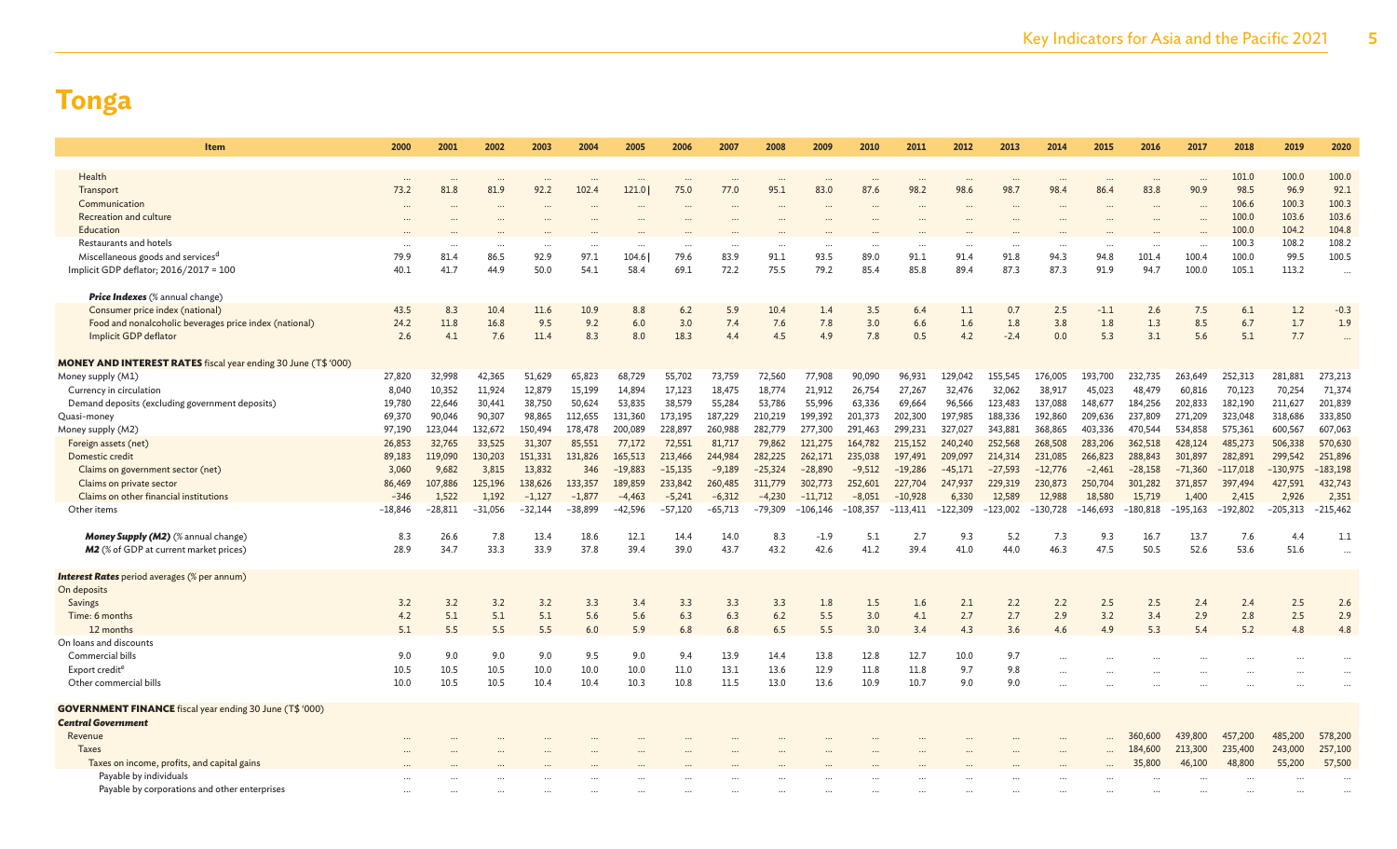| <b>Item</b>                                                                                  | 2000      | 2001      | 2002      | 2003      | 2004      | 2005      | 2006      | 2007                 | 2008      | 2009       | 2010     | 2011       | 2012       | 2013      | 2014       | 2015       | 2016      | 2017       | 2018       | 2019       | 2020       |
|----------------------------------------------------------------------------------------------|-----------|-----------|-----------|-----------|-----------|-----------|-----------|----------------------|-----------|------------|----------|------------|------------|-----------|------------|------------|-----------|------------|------------|------------|------------|
|                                                                                              |           |           |           |           |           |           |           |                      |           |            |          |            |            |           |            |            |           |            |            |            |            |
| Health                                                                                       |           |           |           |           |           |           |           |                      |           |            |          |            |            |           |            |            |           |            | 101.0      | 100.0      | 100.0      |
| Transport                                                                                    | 73.2      | 81.8      | 81.9      | 92.2      | 102.4     | 121.0     | 75.0      | 77.0                 | 95.1      | 83.0       | 87.6     | 98.2       | 98.6       | 98.7      | 98.4       | 86.4       | 83.8      | 90.9       | 98.5       | 96.9       | 92.1       |
| Communication                                                                                | $\cdots$  |           |           |           |           |           |           |                      |           |            |          |            |            |           |            |            |           |            | 106.6      | 100.3      | 100.3      |
| Recreation and culture                                                                       |           |           |           |           |           |           |           |                      |           |            |          |            |            |           |            |            |           |            | 100.0      | 103.6      | 103.6      |
| Education                                                                                    |           |           |           |           |           |           |           |                      |           |            |          |            |            |           |            |            |           |            | 100.0      | 104.2      | 104.8      |
| Restaurants and hotels                                                                       | $\cdots$  |           | $\cdots$  |           |           |           | $\cdots$  | $\ddot{\phantom{a}}$ |           | $\cdots$   |          |            | $\ddotsc$  |           |            | $\cdots$   | $\ddotsc$ | $\ddotsc$  | 100.3      | 108.2      | 108.2      |
| Miscellaneous goods and services <sup>d</sup>                                                | 79.9      | 81.4      | 86.5      | 92.9      | 97.1      | 104.6     | 79.6      | 83.9                 | 91.1      | 93.5       | 89.0     | 91.1       | 91.4       | 91.8      | 94.3       | 94.8       | 101.4     | 100.4      | 100.0      | 99.5       | 100.5      |
| Implicit GDP deflator; 2016/2017 = 100                                                       | 40.1      | 41.7      | 44.9      | 50.0      | 54.1      | 58.4      | 69.1      | 72.2                 | 75.5      | 79.2       | 85.4     | 85.8       | 89.4       | 87.3      | 87.3       | 91.9       | 94.7      | 100.0      | 105.1      | 113.2      | $\cdots$   |
| <b>Price Indexes</b> (% annual change)                                                       |           |           |           |           |           |           |           |                      |           |            |          |            |            |           |            |            |           |            |            |            |            |
| Consumer price index (national)                                                              | 43.5      | 8.3       | 10.4      | 11.6      | 10.9      | 8.8       | $6.2$     | 5.9                  | 10.4      | 1.4        | 3.5      | 6.4        | 1.1        | 0.7       | 2.5        | $-1.1$     | 2.6       | 7.5        | 6.1        | 1.2        | $-0.3$     |
| Food and nonalcoholic beverages price index (national)                                       | 24.2      | 11.8      | 16.8      | 9.5       | 9.2       | 6.0       | 3.0       | 7.4                  | 7.6       | 7.8        | 3.0      | 6.6        | 1.6        | 1.8       | 3.8        | 1.8        | 1.3       | 8.5        | 6.7        | 1.7        | 1.9        |
| Implicit GDP deflator                                                                        | 2.6       | 4.1       | 7.6       | 11.4      | 8.3       | 8.0       | 18.3      | 4.4                  | 4.5       | 4.9        | 7.8      | 0.5        | 4.2        | $-2.4$    | 0.0        | 5.3        | 3.1       | 5.6        | 5.1        | 7.7        |            |
| <b>MONEY AND INTEREST RATES</b> fiscal year ending 30 June (T\$ '000)                        |           |           |           |           |           |           |           |                      |           |            |          |            |            |           |            |            |           |            |            |            |            |
|                                                                                              | 27,820    | 32,998    | 42,365    | 51,629    | 65,823    | 68,729    | 55,702    |                      | 72,560    | 77,908     | 90,090   | 96,931     | 129,042    | 155,545   | 176,005    | 193,700    | 232,735   | 263,649    | 252,313    | 281,881    | 273,213    |
| Money supply (M1)<br>Currency in circulation                                                 | 8,040     | 10,352    | 11,924    | 12,879    | 15,199    | 14,894    | 17,123    | 73,759<br>18,475     | 18,774    | 21,912     | 26,754   | 27,267     | 32,476     | 32,062    | 38,917     | 45,023     | 48,479    | 60,816     | 70,123     | 70,254     | 71,374     |
| Demand deposits (excluding government deposits)                                              | 19,780    | 22,646    | 30,441    | 38,750    | 50,624    | 53,835    | 38,579    | 55,284               | 53,786    | 55,996     | 63,336   | 69,664     | 96,566     | 123,483   | 137,088    | 148,677    | 184,256   | 202,833    | 182,190    | 211,627    | 201,839    |
| Quasi-money                                                                                  | 69,370    | 90,046    | 90,307    | 98,865    | 112,655   | 131,360   | 173,195   | 187,229              | 210,219   | 199,392    | 201,373  | 202,300    | 197,985    | 188,336   | 192,860    | 209,636    | 237,809   | 271,209    | 323,048    | 318,686    | 333,850    |
| Money supply (M2)                                                                            | 97,190    | 123,044   | 132,672   | 150,494   | 178,478   | 200,089   | 228,897   | 260,988              | 282,779   | 277,300    | 291,463  | 299,231    | 327,027    | 343,881   | 368,865    | 403,336    | 470,544   | 534,858    | 575,361    | 600,567    | 607,063    |
| Foreign assets (net)                                                                         | 26,853    | 32,765    | 33,525    | 31,307    | 85,551    | 77,172    | 72,551    | 81,717               | 79,862    | 121,275    | 164,782  | 215,152    | 240,240    | 252,568   | 268,508    | 283,206    | 362,518   | 428,124    | 485,273    | 506,338    | 570,630    |
| Domestic credit                                                                              | 89,183    | 119,090   | 130,203   | 151,331   | 131,826   | 165,513   | 213,466   | 244,984              | 282,225   | 262,171    | 235,038  | 197,491    | 209,097    | 214,314   | 231,085    | 266,823    | 288,843   | 301,897    | 282,891    | 299,542    | 251,896    |
| Claims on government sector (net)                                                            | 3,060     | 9,682     | 3,815     | 13,832    | 346       | $-19,883$ | $-15,135$ | $-9,189$             | $-25,324$ | $-28,890$  | $-9,512$ | $-19,286$  | $-45,171$  | $-27,593$ | $-12,776$  | $-2,461$   | $-28,158$ | $-71,360$  | $-117,018$ | $-130,975$ | $-183,198$ |
| Claims on private sector                                                                     | 86,469    | 107,886   | 125,196   | 138,626   | 133,357   | 189,859   | 233,842   | 260,485              | 311,779   | 302,773    | 252,601  | 227,704    | 247,937    | 229,319   | 230,873    | 250,704    | 301,282   | 371,857    | 397,494    | 427,591    | 432,743    |
| Claims on other financial institutions                                                       | $-346$    | 1,522     | 1,192     | $-1,127$  | $-1,877$  | $-4,463$  | $-5,241$  | $-6,312$             | $-4,230$  | $-11,712$  | $-8,051$ | $-10,928$  | 6,330      | 12,589    | 12,988     | 18,580     | 15,719    | 1,400      | 2,415      | 2,926      | 2,351      |
| Other items                                                                                  | $-18,846$ | $-28,811$ | $-31,056$ | $-32,144$ | $-38,899$ | $-42,596$ | $-57,120$ | -65,713              | $-79,309$ | $-106,146$ | -108,357 | $-113,411$ | $-122,309$ | -123,002  | $-130,728$ | $-146,693$ | -180,818  | $-195,163$ | $-192,802$ | $-205,313$ | $-215,462$ |
|                                                                                              |           |           |           |           |           |           |           |                      |           |            |          |            |            |           |            |            |           |            |            |            |            |
| Money Supply (M2) (% annual change)                                                          | 8.3       | 26.6      | 7.8       | 13.4      | 18.6      | 12.1      | 14.4      | 14.0                 | 8.3       | $-1.9$     | 5.1      | 2.7        | 9.3        | 5.2       | 7.3        | 9.3        | 16.7      | 13.7       | 7.6        | 4.4        | 1.1        |
| <b>M2</b> (% of GDP at current market prices)                                                | 28.9      | 34.7      | 33.3      | 33.9      | 37.8      | 39.4      | 39.0      | 43.7                 | 43.2      | 42.6       | 41.2     | 39.4       | 41.0       | 44.0      | 46.3       | 47.5       | 50.5      | 52.6       | 53.6       | 51.6       | $\ddotsc$  |
| <b>Interest Rates</b> period averages (% per annum)                                          |           |           |           |           |           |           |           |                      |           |            |          |            |            |           |            |            |           |            |            |            |            |
| On deposits                                                                                  |           |           |           |           |           |           |           |                      |           |            |          |            |            |           |            |            |           |            |            |            |            |
| Savings                                                                                      | 3.2       | 3.2       | 3.2       | 3.2       | 3.3       | 3.4       | 3.3       | 3.3                  | 3.3       | 1.8        | 1.5      | 1.6        | 2.1        | 2.2       | 2.2        | 2.5        | 2.5       | 2.4        | 2.4        | 2.5        | 2.6        |
| Time: 6 months                                                                               | 4.2       | 5.1       | 5.1       | 5.1       | 5.6       | 5.6       | 6.3       | 6.3                  | 6.2       | 5.5        | 3.0      | 4.1        | 2.7        | 2.7       | 2.9        | 3.2        | 3.4       | 2.9        | 2.8        | 2.5        | 2.9        |
| 12 months                                                                                    | 5.1       | 5.5       | 5.5       | 5.5       | 6.0       | 5.9       | 6.8       | 6.8                  | 6.5       | 5.5        | 3.0      | 3.4        | 4.3        | 3.6       | 4.6        | 4.9        | 5.3       | 5.4        | 5.2        | 4.8        | 4.8        |
| On loans and discounts                                                                       |           |           |           |           |           |           |           |                      |           |            |          |            |            |           |            |            |           |            |            |            |            |
| Commercial bills                                                                             | 9.0       | 9.0       | 9.0       | 9.0       | 9.5       | 9.0       | 9.4       | 13.9                 | 14.4      | 13.8       | 12.8     | 12.7       | 10.0       | 9.7       |            |            |           |            |            |            |            |
| Export credit <sup>e</sup>                                                                   | 10.5      | 10.5      | 10.5      | 10.0      | 10.0      | 10.0      | 11.0      | 13.1                 | 13.6      | 12.9       | 11.8     | 11.8       | 9.7        | 9.8       |            |            |           |            |            |            |            |
| Other commercial bills                                                                       | 10.0      | 10.5      | 10.5      | 10.4      | 10.4      | 10.3      | 10.8      | 11.5                 | 13.0      | 13.6       | 10.9     | 10.7       | 9.0        | 9.0       |            |            |           |            |            |            |            |
|                                                                                              |           |           |           |           |           |           |           |                      |           |            |          |            |            |           |            |            |           |            |            |            |            |
| <b>GOVERNMENT FINANCE</b> fiscal year ending 30 June (T\$ '000)<br><b>Central Government</b> |           |           |           |           |           |           |           |                      |           |            |          |            |            |           |            |            |           |            |            |            |            |
| Revenue                                                                                      |           |           |           |           |           |           |           |                      |           |            |          |            |            |           |            |            | 360,600   | 439,800    | 457,200    | 485,200    | 578,200    |
| <b>Taxes</b>                                                                                 |           |           |           |           |           |           |           |                      |           |            |          |            |            |           |            |            | 184,600   | 213,300    | 235,400    | 243,000    | 257,100    |
| Taxes on income, profits, and capital gains                                                  |           |           |           |           |           |           |           |                      |           |            |          |            |            |           |            |            | 35,800    | 46,100     | 48,800     | 55,200     | 57,500     |
| Payable by individuals                                                                       |           |           |           |           |           |           |           |                      |           |            |          |            |            |           |            |            |           |            |            |            |            |
| Payable by corporations and other enterprises                                                |           |           |           |           |           |           |           |                      |           |            |          |            |            |           |            |            |           |            |            |            |            |
|                                                                                              |           |           |           |           |           |           |           |                      |           |            |          |            |            |           |            |            |           |            |            |            |            |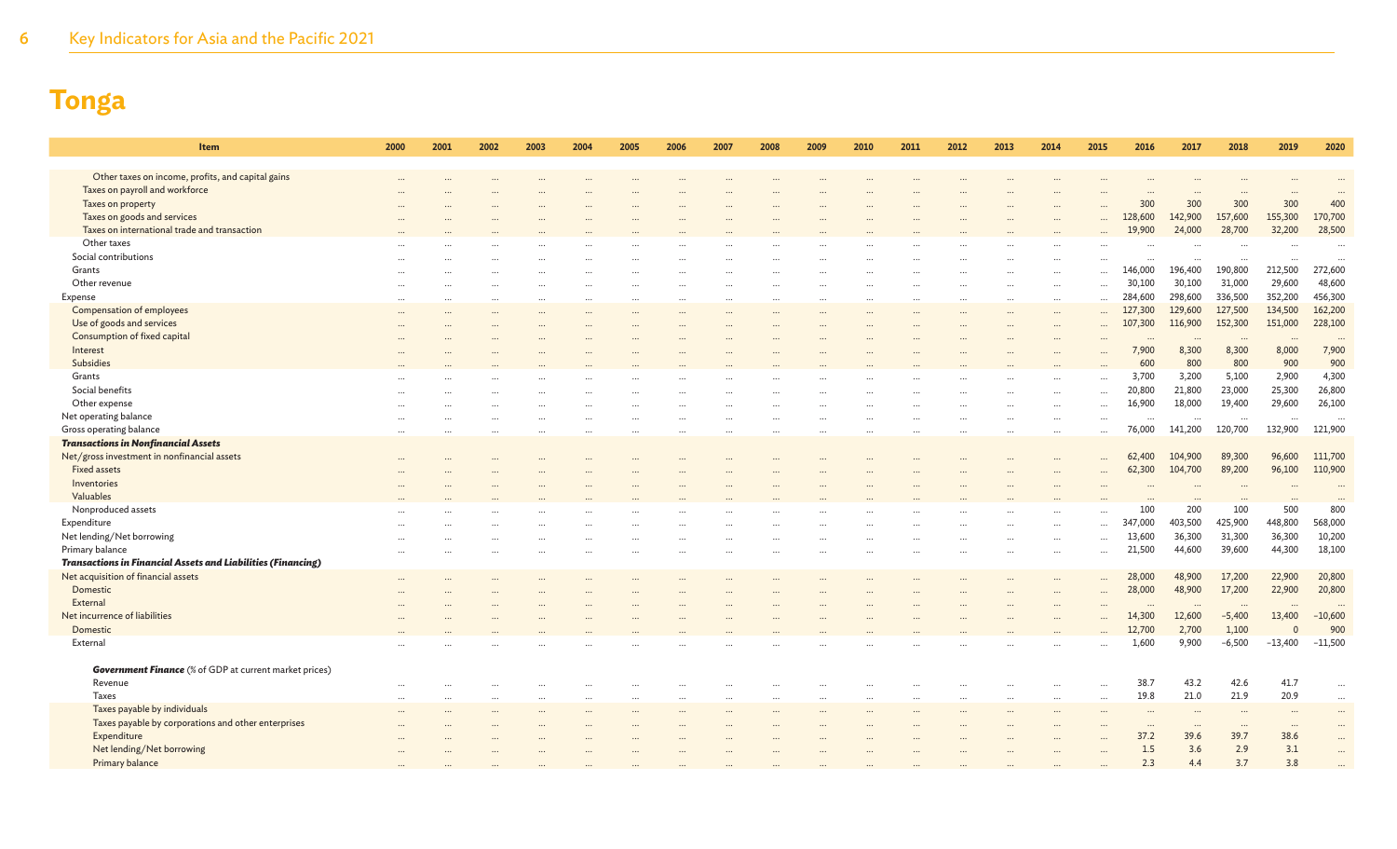6 Key Indicators for Asia and the Pacific 2021

| Item                                                                | 2000 | 2001 | 2002 | 2003 | 2004 | 2005 | 2006 | 2007 | 2008 | 2009 | 2010 | 2011 | 2012 | 2013 | 2014     | 2015                 | 2016                            | 2017     | 2018                | 2019                | 2020                 |
|---------------------------------------------------------------------|------|------|------|------|------|------|------|------|------|------|------|------|------|------|----------|----------------------|---------------------------------|----------|---------------------|---------------------|----------------------|
| Other taxes on income, profits, and capital gains                   |      |      |      |      |      |      |      |      |      |      |      |      |      |      |          |                      |                                 |          |                     |                     |                      |
| Taxes on payroll and workforce                                      |      |      |      |      |      |      |      |      |      |      |      |      |      |      |          |                      |                                 |          |                     |                     |                      |
| Taxes on property                                                   |      |      |      |      |      |      |      |      |      |      |      |      |      |      |          |                      | 300                             | 300      | 300                 | 300                 | 400                  |
| Taxes on goods and services                                         |      |      |      |      |      |      |      |      |      |      |      |      |      |      |          |                      | 128,600                         | 142,900  | 157,600             | 155,300             | 170,700              |
| Taxes on international trade and transaction                        |      |      |      |      |      |      |      |      |      |      |      |      |      |      |          |                      | 19,900                          | 24,000   | 28,700              | 32,200              | 28,500               |
| Other taxes                                                         |      |      |      |      |      |      |      |      |      |      |      |      |      |      |          |                      |                                 |          |                     |                     |                      |
| Social contributions                                                |      |      |      |      |      |      |      |      |      |      |      |      |      |      |          |                      |                                 |          |                     |                     |                      |
| Grants                                                              |      |      |      |      |      |      |      |      |      |      |      |      |      |      |          | $\cdots$             | $\ddot{\phantom{a}}$<br>146,000 | 196,400  | $\cdots$<br>190,800 | $\cdots$<br>212,500 | 272,600              |
| Other revenue                                                       |      |      |      |      |      |      |      |      |      |      |      |      |      |      |          | $\cdots$             | 30,100                          | 30,100   | 31,000              | 29,600              | 48,600               |
| Expense                                                             |      |      |      |      |      |      |      |      |      |      |      |      |      |      | $\cdots$ |                      | 284,600                         | 298,600  | 336,500             | 352,200             | 456,300              |
| Compensation of employees                                           |      |      |      |      |      |      |      |      |      |      |      |      |      |      |          |                      | 127,300                         | 129,600  | 127,500             | 134,500             | 162,200              |
| Use of goods and services                                           |      |      |      |      |      |      |      |      |      |      |      |      |      |      | $\cdots$ |                      | 107,300                         | 116,900  | 152,300             | 151,000             | 228,100              |
| Consumption of fixed capital                                        |      |      |      |      |      |      |      |      |      |      |      |      |      |      |          | $\ddot{\phantom{a}}$ | $\ddotsc$                       |          |                     |                     |                      |
| Interest                                                            |      |      |      |      |      |      |      |      |      |      |      |      |      |      |          |                      | 7,900                           | 8,300    | $\cdots$<br>8,300   | $\cdots$<br>8,000   | 7,900                |
| <b>Subsidies</b>                                                    |      |      |      |      |      |      |      |      |      |      |      |      |      |      |          |                      | 600                             | 800      | 800                 | 900                 | 900                  |
| Grants                                                              |      |      |      |      |      |      |      |      |      |      |      |      |      |      |          |                      | 3,700                           | 3,200    | 5,100               | 2,900               | 4,300                |
| Social benefits                                                     |      |      |      |      |      |      |      |      |      |      |      |      |      |      |          |                      | 20,800                          | 21,800   | 23,000              | 25,300              | 26,800               |
| Other expense                                                       |      |      |      |      |      |      |      |      |      |      |      |      |      |      |          |                      | 16,900                          | 18,000   | 19,400              | 29,600              | 26,100               |
| Net operating balance                                               |      |      |      |      |      |      |      |      |      |      |      |      |      |      |          | $\cdots$<br>$\cdots$ | $\ddotsc$                       | $\cdots$ |                     | $\cdots$            | $\ddot{\phantom{a}}$ |
| Gross operating balance                                             |      |      |      |      |      |      |      |      |      |      |      |      |      |      |          |                      | 76,000                          | 141,200  | $\cdots$<br>120,700 | 132,900             | 121,900              |
| <b>Transactions in Nonfinancial Assets</b>                          |      |      |      |      |      |      |      |      |      |      |      |      |      |      | $\cdots$ | $\ldots$             |                                 |          |                     |                     |                      |
| Net/gross investment in nonfinancial assets                         |      |      |      |      |      |      |      |      |      |      |      |      |      |      |          |                      | 62,400                          | 104,900  | 89,300              | 96,600              | 111,700              |
| <b>Fixed assets</b>                                                 |      |      |      |      |      |      |      |      |      |      |      |      |      |      |          |                      | 62,300                          | 104,700  | 89,200              | 96,100              | 110,900              |
| Inventories                                                         |      |      |      |      |      |      |      |      |      |      |      |      |      |      |          |                      |                                 |          |                     |                     |                      |
| Valuables                                                           |      |      |      |      |      |      |      |      |      |      |      |      |      |      |          |                      |                                 |          |                     |                     |                      |
| Nonproduced assets                                                  |      |      |      |      |      |      |      |      |      |      |      |      |      |      |          |                      | 100                             | 200      | 100                 | 500                 | 800                  |
| Expenditure                                                         |      |      |      |      |      |      |      |      |      |      |      |      |      |      |          | $\ddotsc$            | 347,000                         | 403,500  | 425,900             | 448,800             | 568,000              |
| Net lending/Net borrowing                                           |      |      |      |      |      |      |      |      |      |      |      |      |      |      |          |                      | 13,600                          | 36,300   | 31,300              | 36,300              | 10,200               |
| Primary balance                                                     |      |      |      |      |      |      |      |      |      |      |      |      |      |      |          |                      | 21,500                          | 44,600   | 39,600              | 44,300              | 18,100               |
| <b>Transactions in Financial Assets and Liabilities (Financing)</b> |      |      |      |      |      |      |      |      |      |      |      |      |      |      |          |                      |                                 |          |                     |                     |                      |
| Net acquisition of financial assets                                 |      |      |      |      |      |      |      |      |      |      |      |      |      |      |          |                      | 28,000                          | 48,900   | 17,200              | 22,900              | 20,800               |
| Domestic                                                            |      |      |      |      |      |      |      |      |      |      |      |      |      |      |          |                      | 28,000                          | 48,900   | 17,200              | 22,900              | 20,800               |
| External                                                            |      |      |      |      |      |      |      |      |      |      |      |      |      |      |          |                      |                                 |          |                     |                     |                      |
| Net incurrence of liabilities                                       |      |      |      |      |      |      |      |      |      |      |      |      |      |      |          |                      | 14,300                          | 12,600   | $-5,400$            | 13,400              | $-10,600$            |
| Domestic                                                            |      |      |      |      |      |      |      |      |      |      |      |      |      |      |          |                      | 12,700                          | 2,700    | 1,100               | $\Omega$            | 900                  |
| External                                                            |      |      |      |      |      |      |      |      |      |      |      |      |      |      |          | $\cdots$             | 1,600                           | 9,900    | $-6,500$            | $-13,400$           | $-11,500$            |
|                                                                     |      |      |      |      |      |      |      |      |      |      |      |      |      |      |          |                      |                                 |          |                     |                     |                      |
| <b>Government Finance</b> (% of GDP at current market prices)       |      |      |      |      |      |      |      |      |      |      |      |      |      |      |          |                      |                                 |          |                     |                     |                      |
| Revenue                                                             |      |      |      |      |      |      |      |      |      |      |      |      |      |      |          |                      | 38.7                            | 43.2     | 42.6                | 41.7                | $\ddotsc$            |
| <b>Taxes</b>                                                        |      |      |      |      |      |      |      |      |      |      |      |      |      |      | $\cdots$ | $\cdots$             | 19.8                            | 21.0     | 21.9                | 20.9                |                      |
| Taxes payable by individuals                                        |      |      |      |      |      |      |      |      |      |      |      |      |      |      |          |                      |                                 |          |                     |                     |                      |
| Taxes payable by corporations and other enterprises                 |      |      |      |      |      |      |      |      |      |      |      |      |      |      |          |                      |                                 |          | $\cdots$            | $\cdots$            |                      |
| Expenditure                                                         |      |      |      |      |      |      |      |      |      |      |      |      |      |      |          |                      | 37.2                            | 39.6     | 39.7                | 38.6                |                      |
| Net lending/Net borrowing                                           |      |      |      |      |      |      |      |      |      |      |      |      |      |      |          |                      | 1.5                             | 3.6      | 2.9                 | 3.1                 |                      |
| Primary balance                                                     |      |      |      |      |      |      |      |      |      |      |      |      |      |      |          |                      | 2.3                             | 4.4      | 3.7                 | 3.8                 |                      |
|                                                                     |      |      |      |      |      |      |      |      |      |      |      |      |      |      |          |                      |                                 |          |                     |                     |                      |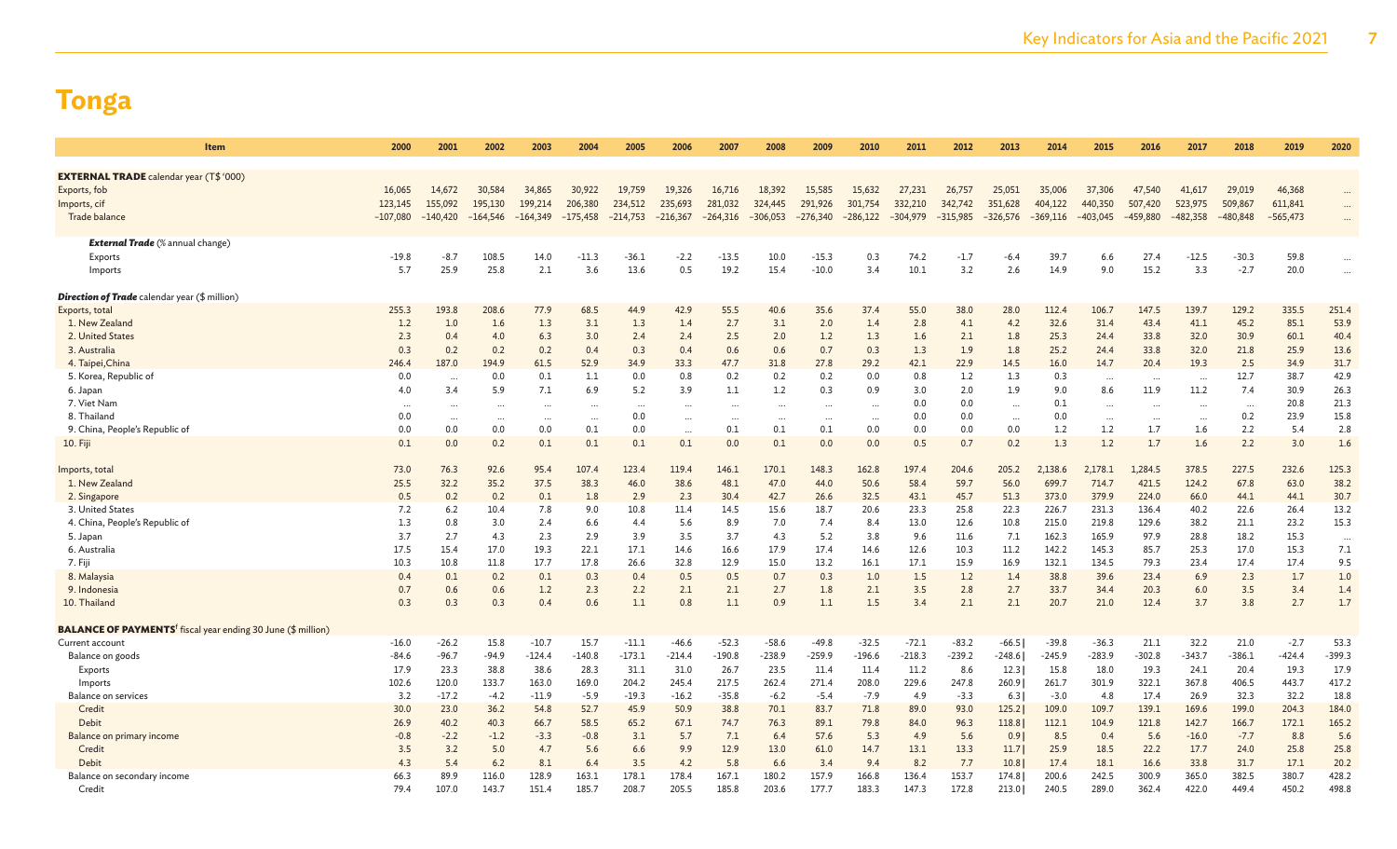| Item                                                                            | 2000       | 2001       | 2002       | 2003       | 2004       | 2005       | 2006       | 2007       | 2008                 | 2009       | 2010       | 2011       | 2012       | 2013       | 2014       | 2015       | 2016       | 2017       | 2018       | 2019       | 2020      |
|---------------------------------------------------------------------------------|------------|------------|------------|------------|------------|------------|------------|------------|----------------------|------------|------------|------------|------------|------------|------------|------------|------------|------------|------------|------------|-----------|
|                                                                                 |            |            |            |            |            |            |            |            |                      |            |            |            |            |            |            |            |            |            |            |            |           |
| <b>EXTERNAL TRADE</b> calendar year (T\$ '000)                                  |            |            |            |            |            |            |            |            |                      |            |            |            |            |            |            |            |            |            |            |            |           |
| Exports, fob                                                                    | 16,065     | 14,672     | 30,584     | 34,865     | 30,922     | 19,759     | 19,326     | 16,716     | 18,392               | 15,585     | 15,632     | 27,231     | 26,757     | 25,051     | 35,006     | 37,306     | 47,540     | 41,617     | 29,019     | 46,368     |           |
| Imports, cif                                                                    | 123,145    | 155,092    | 195,130    | 199,214    | 206,380    | 234,512    | 235,693    | 281,032    | 324,445              | 291,926    | 301,754    | 332,210    | 342,742    | 351,628    | 404,122    | 440,350    | 507,420    | 523,975    | 509,867    | 611,841    |           |
| Trade balance                                                                   | $-107,080$ | $-140,420$ | $-164,546$ | $-164,349$ | $-175,458$ | $-214,753$ | $-216,367$ | $-264,316$ | $-306,053$           | $-276,340$ | $-286,122$ | $-304,979$ | $-315,985$ | $-326,576$ | $-369,116$ | $-403,045$ | $-459,880$ | $-482,358$ | $-480,848$ | $-565,473$ | $\cdots$  |
|                                                                                 |            |            |            |            |            |            |            |            |                      |            |            |            |            |            |            |            |            |            |            |            |           |
| <b>External Trade</b> (% annual change)                                         |            |            |            |            |            |            |            |            |                      |            |            |            |            |            |            |            |            |            |            |            |           |
| Exports                                                                         | $-19.8$    | -8.7       | 108.5      | 14.0       | $-11.3$    | $-36.1$    | $-2.2$     | $-13.5$    | 10.0                 | $-15.3$    | 0.3        | 74.2       | $-1.7$     | -6.4       | 39.7       | 6.6        | 27.        | $-12.5$    | $-30.3$    | 59.8       | $\ddotsc$ |
| Imports                                                                         | 5.7        | 25.9       | 25.8       | 2.1        | 3.6        | 13.6       | 0.5        | 19.2       | 15.4                 | $-10.0$    | 3.4        | 10.1       | 3.2        | 2.6        | 14.9       | 9.0        | 15.2       | 3.3        | $-2.7$     | 20.0       | $\cdots$  |
| <b>Direction of Trade</b> calendar year (\$ million)                            |            |            |            |            |            |            |            |            |                      |            |            |            |            |            |            |            |            |            |            |            |           |
| Exports, total                                                                  | 255.3      | 193.8      | 208.6      | 77.9       | 68.5       | 44.9       | 42.9       | 55.5       | 40.6                 | 35.6       | 37.4       | 55.0       | 38.0       | 28.0       | 112.4      | 106.7      | 147.5      | 139.7      | 129.2      | 335.5      | 251.4     |
| 1. New Zealand                                                                  | 1.2        | 1.0        | 1.6        | 1.3        | 3.1        | 1.3        | 1.4        | 2.7        | 3.1                  | 2.0        | 1.4        | 2.8        | 4.1        | 4.2        | 32.6       | 31.4       | 43.4       | 41.1       | 45.2       | 85.1       | 53.9      |
| 2. United States                                                                | 2.3        | 0.4        | 4.0        | 6.3        | 3.0        | 2.4        | 2.4        | 2.5        | 2.0                  | 1.2        | 1.3        | 1.6        | 2.1        | 1.8        | 25.3       | 24.4       | 33.8       | 32.0       | 30.9       | 60.1       | 40.4      |
| 3. Australia                                                                    | 0.3        | 0.2        | 0.2        | 0.2        | 0.4        | 0.3        | 0.4        | 0.6        | 0.6                  | 0.7        | 0.3        | 1.3        | 1.9        | 1.8        | 25.2       | 24.4       | 33.8       | 32.0       | 21.8       | 25.9       | 13.6      |
| 4. Taipei, China                                                                | 246.4      | 187.0      | 194.9      | 61.5       | 52.9       | 34.9       | 33.3       | 47.7       | 31.8                 | 27.8       | 29.2       | 42.1       | 22.9       | 14.5       | 16.0       | 14.7       | 20.4       | 19.3       | 2.5        | 34.9       | 31.7      |
| 5. Korea, Republic of                                                           | 0.0        | $\cdots$   | 0.0        | 0.1        | 1.1        | 0.0        | 0.8        | 0.2        | 0.2                  | 0.2        | 0.0        | 0.8        | 1.2        | 1.3        | 0.3        | $\ldots$   |            |            | 12.7       | 38.7       | 42.9      |
| 6. Japan                                                                        | 4.0        | 3.4        | 5.9        | 7.1        | 6.9        | 5.2        | 3.9        | $1.1\,$    | 1.2                  | 0.3        | 0.9        | 3.0        | 2.0        | 1.9        | 9.0        | 8.6        | 11.9       | 11.2       | 7.4        | 30.9       | 26.3      |
| 7. Viet Nam                                                                     | $\cdots$   | $\cdots$   |            | $\cdots$   |            |            | $\cdots$   |            |                      | $\cdots$   |            | 0.0        | 0.0        | $\ddots$   | 0.1        | $\cdots$   |            |            | $\cdots$   | 20.8       | 21.3      |
| 8. Thailand                                                                     | 0.0        | $\cdots$   | $\ddots$   | $\cdots$   |            | 0.0        | $\cdots$   | $\cdots$   | $\ddot{\phantom{0}}$ | $\cdots$   | $\cdots$   | 0.0        | 0.0        | $\cdots$   | 0.0        | $\cdots$   | $\ddotsc$  | $\ddotsc$  | 0.2        | 23.9       | 15.8      |
| 9. China, People's Republic of                                                  | 0.0        | 0.0        | 0.0        | 0.0        | 0.1        | 0.0        | $\cdots$   | 0.1        | 0.1                  | 0.1        | 0.0        | 0.0        | 0.0        | 0.0        | 1.2        | 1.2        | 1.7        | 1.6        | 2.2        | 5.4        | 2.8       |
| 10. Fiji                                                                        | 0.1        | 0.0        | 0.2        | 0.1        | 0.1        | 0.1        | 0.1        | 0.0        | 0.1                  | 0.0        | 0.0        | 0.5        | 0.7        | 0.2        | 1.3        | 1.2        | 1.7        | 1.6        | 2.2        | 3.0        | 1.6       |
| Imports, total                                                                  | 73.0       | 76.3       | 92.6       | 95.4       | 107.4      | 123.4      | 119.4      | 146.1      | 170.1                | 148.3      | 162.8      | 197.4      | 204.6      | 205.2      | 2,138.6    | 2,178.1    | 1.284.5    | 378.5      | 227.5      | 232.6      | 125.3     |
| 1. New Zealand                                                                  | 25.5       | 32.2       | 35.2       | 37.5       | 38.3       | 46.0       | 38.6       | 48.1       | 47.0                 | 44.0       | 50.6       | 58.4       | 59.7       | 56.0       | 699.7      | 714.7      | 421.5      | 124.2      | 67.8       | 63.0       | 38.2      |
| 2. Singapore                                                                    | 0.5        | 0.2        | 0.2        | 0.1        | 1.8        | 2.9        | 2.3        | 30.4       | 42.7                 | 26.6       | 32.5       | 43.1       | 45.7       | 51.3       | 373.0      | 379.9      | 224.0      | 66.0       | 44.1       | 44.1       | 30.7      |
| 3. United States                                                                | 7.2        | 6.2        | 10.4       | 7.8        | 9.0        | 10.8       | 11.4       | 14.5       | 15.6                 | 18.7       | 20.6       | 23.3       | 25.8       | 22.3       | 226.7      | 231.3      | 136.4      | 40.2       | 22.6       | 26.4       | 13.2      |
| 4. China, People's Republic of                                                  | 1.3        | 0.8        | 3.0        | 2.4        | 6.6        | 4.4        | 5.6        | 8.9        | 7.0                  | 7.4        | 8.4        | 13.0       | 12.6       | 10.8       | 215.0      | 219.8      | 129.6      | 38.2       | 21.1       | 23.2       | 15.3      |
| 5. Japan                                                                        | 3.7        | 2.7        | 4.3        | 2.3        | 2.9        | 3.9        | 3.5        | 3.7        | 4.3                  | 5.2        | 3.8        | 9.6        | 11.6       | 7.1        | 162.3      | 165.9      | 97.9       | 28.8       | 18.2       | 15.3       | $\cdots$  |
| 6. Australia                                                                    | 17.5       | 15.4       | 17.0       | 19.3       | 22.1       | 17.1       | 14.6       | 16.6       | 17.9                 | 17.4       | 14.6       | 12.6       | 10.3       | 11.2       | 142.2      | 145.3      | 85.7       | 25.3       | 17.0       | 15.3       | 7.1       |
| 7. Fiji                                                                         | 10.3       | 10.8       | 11.8       | 17.7       | 17.8       | 26.6       | 32.8       | 12.9       | 15.0                 | 13.2       | 16.1       | 17.1       | 15.9       | 16.9       | 132.1      | 134.5      | 79.3       | 23.4       | 17.4       | 17.4       | 9.5       |
| 8. Malaysia                                                                     | 0.4        | 0.1        | 0.2        | 0.1        | 0.3        | 0.4        | 0.5        | 0.5        | 0.7                  | 0.3        | 1.0        | 1.5        | 1.2        | 1.4        | 38.8       | 39.6       | 23.4       | 6.9        | 2.3        | 1.7        | 1.0       |
| 9. Indonesia                                                                    | 0.7        | 0.6        | 0.6        | 1.2        | 2.3        | 2.2        | 2.1        | 2.1        | 2.7                  | 1.8        | 2.1        | 3.5        | 2.8        | 2.7        | 33.7       | 34.4       | 20.3       | 6.0        | 3.5        | 3.4        | 1.4       |
| 10. Thailand                                                                    | 0.3        | 0.3        | 0.3        | 0.4        | 0.6        | 1.1        | 0.8        | 1.1        | 0.9                  | 1.1        | 1.5        | 3.4        | 2.1        | 2.1        | 20.7       | 21.0       | 12.4       | 3.7        | 3.8        | 2.7        | 1.7       |
| <b>BALANCE OF PAYMENTS</b> <sup>f</sup> fiscal year ending 30 June (\$ million) |            |            |            |            |            |            |            |            |                      |            |            |            |            |            |            |            |            |            |            |            |           |
| Current account                                                                 | $-16.0$    | $-26.2$    | 15.8       | $-10.7$    | 15.7       | $-11.1$    | $-46.6$    | $-52.3$    | $-58.6$              | $-49.8$    | $-32.5$    | $-72.1$    | $-83.2$    | $-66.5$    | $-39.8$    | $-36.3$    | 21.1       | 32.2       | 21.0       | $-2.7$     | 53.3      |
| Balance on goods                                                                | $-84.6$    | $-96.7$    | $-94.9$    | $-124.4$   | $-140.8$   | $-173.1$   | $-214.4$   | $-190.8$   | $-238.9$             | $-259.9$   | $-196.6$   | $-218.3$   | $-239.2$   | $-248.6$   | $-245.9$   | $-283.9$   | $-302.8$   | $-343.7$   | $-386.1$   | $-424.4$   | $-399.3$  |
| Exports                                                                         | 17.9       | 23.3       | 38.8       | 38.6       | 28.3       | 31.1       | 31.0       | 26.7       | 23.5                 | 11.4       | 11.4       | 11.2       | 8.6        | 12.3       | 15.8       | 18.0       | 19.3       | 24.1       | 20.4       | 19.3       | 17.9      |
| Imports                                                                         | 102.6      | 120.0      | 133.7      | 163.0      | 169.0      | 204.2      | 245.4      | 217.5      | 262.4                | 271.4      | 208.0      | 229.6      | 247.8      | 260.9      | 261.7      | 301.9      | 322.1      | 367.8      | 406.5      | 443.7      | 417.2     |
| <b>Balance on services</b>                                                      | 3.2        | $-17.2$    | $-4.2$     | $-11.9$    | $-5.9$     | $-19.3$    | $-16.2$    | $-35.8$    | $-6.2$               | $-5.4$     | $-7.9$     | 4.9        | $-3.3$     | 6.3        | $-3.0$     | 4.8        | 17.4       | 26.9       | 32.3       | 32.2       | 18.8      |
| Credit                                                                          | 30.0       | 23.0       | 36.2       | 54.8       | 52.7       | 45.9       | 50.9       | 38.8       | 70.1                 | 83.7       | 71.8       | 89.0       | 93.0       | 125.2      | 109.0      | 109.7      | 139.1      | 169.6      | 199.0      | 204.3      | 184.0     |
| Debit                                                                           | 26.9       | 40.2       | 40.3       | 66.7       | 58.5       | 65.2       | 67.1       | 74.7       | 76.3                 | 89.1       | 79.8       | 84.0       | 96.3       | 118.8      | 112.1      | 104.9      | 121.8      | 142.7      | 166.7      | 172.1      | 165.2     |
| Balance on primary income                                                       | $-0.8$     | $-2.2$     | $-1.2$     | $-3.3$     | $-0.8$     | 3.1        | 5.7        | 7.1        | 6.4                  | 57.6       | 5.3        | 4.9        | 5.6        | 0.9        | 8.5        | 0.4        | 5.6        | $-16.0$    | $-7.7$     | 8.8        | 5.6       |
| Credit                                                                          | 3.5        | 3.2        | 5.0        | 4.7        | 5.6        | 6.6        | 9.9        | 12.9       | 13.0                 | 61.0       | 14.7       | 13.1       | 13.3       | 11.7       | 25.9       | 18.5       | 22.2       | 17.7       | 24.0       | 25.8       | 25.8      |
| Debit                                                                           | 4.3        | 5.4        | 6.2        | 8.1        | 6.4        | 3.5        | 4.2        | 5.8        | 6.6                  | 3.4        | 9.4        | 8.2        | 7.7        | 10.8       | 17.4       | 18.1       | 16.6       | 33.8       | 31.7       | 17.1       | 20.2      |
| Balance on secondary income                                                     | 66.3       | 89.9       | 116.0      | 128.9      | 163.1      | 178.1      | 178.4      | 167.1      | 180.2                | 157.9      | 166.8      | 136.4      | 153.7      | 174.8      | 200.6      | 242.5      | 300.9      | 365.0      | 382.5      | 380.7      | 428.2     |
| Credit                                                                          | 79.4       | 107.0      | 143.7      | 151.4      | 185.7      | 208.7      | 205.5      | 185.8      | 203.6                | 177.7      | 183.3      | 147.3      | 172.8      | 213.0      | 240.5      | 289.0      | 362.4      | 422.0      | 449.4      | 450.2      | 498.8     |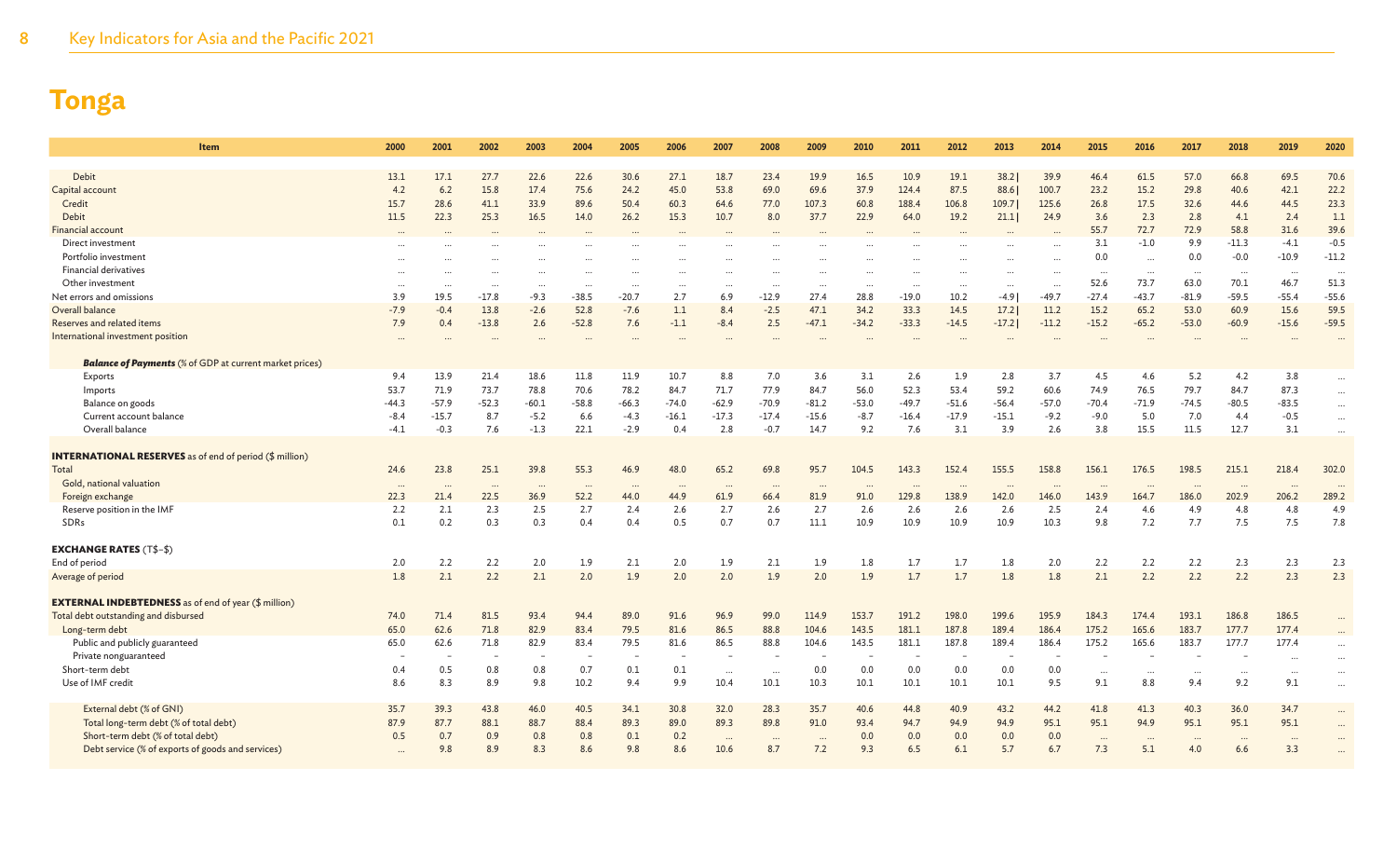| Item                                                           | 2000     | 2001     | 2002     | 2003     | 2004     | 2005     | 2006       | 2007             | 2008            | 2009     | 2010       | 2011    | 2012     | 2013    | 2014       | 2015            | 2016            | 2017                 | 2018     | 2019     | 2020                 |
|----------------------------------------------------------------|----------|----------|----------|----------|----------|----------|------------|------------------|-----------------|----------|------------|---------|----------|---------|------------|-----------------|-----------------|----------------------|----------|----------|----------------------|
|                                                                |          |          |          |          |          |          |            |                  |                 |          |            |         |          |         |            |                 |                 |                      |          |          |                      |
| Debit                                                          | 13.1     | 17.1     | 27.7     | 22.6     | 22.6     | 30.6     | 27.1       | 18.7             | 23.4            | 19.9     | 16.5       | 10.9    | 19.1     | 38.2    | 39.9       | 46.4            | 61.5            | 57.0                 | 66.8     | 69.5     | 70.6                 |
| Capital account                                                | 4.2      | 6.2      | 15.8     | 17.4     | 75.6     | 24.2     | 45.0       | 53.8             | 69.0            | 69.6     | 37.9       | 124.4   | 87.5     | 88.6    | 100.7      | 23.2            | 15.2            | 29.8                 | 40.6     | 42.1     | 22.2                 |
| Credit                                                         | 15.7     | 28.6     | 41.1     | 33.9     | 89.6     | 50.4     | 60.3       | 64.6             | 77.0            | 107.3    | 60.8       | 188.4   | 106.8    | 109.7   | 125.6      | 26.8            | 17.5            | 32.6                 | 44.6     | 44.5     | 23.3                 |
| Debit                                                          | 11.5     | 22.3     | 25.3     | 16.5     | 14.0     | 26.2     | 15.3       | 10.7             | 8.0             | 37.7     | 22.9       | 64.0    | 19.2     | 21.1    | 24.9       | 3.6             | 2.3             | 2.8                  | 4.1      | 2.4      | 1.1                  |
| <b>Financial account</b>                                       |          |          |          |          |          |          |            |                  |                 |          |            |         |          |         |            | 55.7            | 72.7            | 72.9                 | 58.8     | 31.6     | 39.6                 |
| Direct investment                                              |          |          |          |          |          |          |            |                  |                 |          |            |         |          |         |            | 3.1             | $-1.0$          | 9.9                  | $-11.3$  | $-4.1$   | $-0.5$               |
| Portfolio investment                                           |          |          |          |          |          |          |            |                  |                 |          |            |         |          |         |            | 0.0             | $\cdots$        | 0.0                  | $-0.0$   | $-10.9$  | $-11.2$              |
| <b>Financial derivatives</b>                                   |          |          |          |          |          |          |            |                  |                 |          |            |         |          |         | $\ddotsc$  | $\ddots$        | $\cdots$        | $\ddots$             | $\cdots$ |          | $\ddot{\phantom{a}}$ |
| Other investment                                               |          |          |          |          |          |          |            |                  |                 |          |            |         |          |         |            | 52.6            | 73.7            | 63.0                 | 70.1     | 46.7     | 51.3                 |
| Net errors and omissions                                       | 3.9      | 19.5     | $-17.8$  | $-9.3$   | $-38.5$  | $-20.7$  | 2.7        | 6.9              | $-12.9$         | 27.4     | 28.8       | $-19.0$ | 10.2     | $-4.9$  | $-49.7$    | $-27.4$         | $-43.7$         | $-81.9$              | $-59.5$  | $-55.4$  | $-55.6$              |
| Overall balance                                                | $-7.9$   | $-0.4$   | 13.8     | $-2.6$   | 52.8     | $-7.6$   | 1.1        | 8.4              | $-2.5$          | 47.1     | 34.2       | 33.3    | 14.5     | 17.2    | 11.2       | 15.2            | 65.2            | 53.0                 | 60.9     | 15.6     | 59.5                 |
| Reserves and related items                                     | 7.9      | 0.4      | $-13.8$  | 2.6      | $-52.8$  | 7.6      | $-1.1$     | $-8.4$           | 2.5             | $-47.1$  | $-34.2$    | $-33.3$ | $-14.5$  | $-17.2$ | $-11.2$    | $-15.2$         | $-65.2$         | $-53.0$              | $-60.9$  | $-15.6$  | $-59.5$              |
| International investment position                              |          |          |          |          |          |          |            |                  |                 |          |            |         |          |         |            |                 |                 |                      |          |          |                      |
| <b>Balance of Payments</b> (% of GDP at current market prices) |          |          |          |          |          |          |            |                  |                 |          |            |         |          |         |            |                 |                 |                      |          |          |                      |
| Exports                                                        | 9.4      | 13.9     | 21.4     | 18.6     | 11.8     | 11.9     | 10.7       | 8.8              | 7.0             | 3.6      | 3.1        | 2.6     | 1.9      | 2.8     | 3.7        | 4.5             | 4.6             | 5.2                  | 4.2      | 3.8      |                      |
| Imports                                                        | 53.7     | 71.9     | 73.7     | 78.8     | 70.6     | 78.2     | 84.7       | 71.7             | 77.9            | 84.7     | 56.0       | 52.3    | 53.4     | 59.2    | 60.6       | 74.9            | 76.5            | 79.7                 | 84.7     | 87.3     | $\cdots$             |
| Balance on goods                                               | $-44.3$  | $-57.9$  | $-52.3$  | $-60.1$  | $-58.8$  | $-66.3$  | $-74.0$    | $-62.9$          | $-70.9$         | $-81.2$  | $-53.0$    | $-49.7$ | $-51.6$  | $-56.4$ | $-57.0$    | $-70.4$         | $-71.9$         | $-74.5$              | $-80.5$  | $-83.5$  | $\cdots$             |
| Current account balance                                        | $-8.4$   | $-15.7$  | 8.7      | $-5.2$   | 6.6      | $-4.3$   | $-16.1$    | $-17.3$          | $-17.4$         | $-15.6$  | $-8.7$     | $-16.4$ | $-17.9$  | $-15.1$ | $-9.2$     | $-9.0$          | 5.0             | 7.0                  | 4.4      | $-0.5$   | $\cdots$             |
| Overall balance                                                | $-4.1$   | $-0.3$   | 7.6      | $-1.3$   | 22.1     | $-2.9$   | 0.4        | 2.8              | $-0.7$          | 14.7     | 9.2        | 7.6     | 3.1      | 3.9     | 2.6        | 3.8             | 15.5            | 11.5                 | 12.7     | 3.1      | $\ddotsc$            |
|                                                                |          |          |          |          |          |          |            |                  |                 |          |            |         |          |         |            |                 |                 |                      |          |          |                      |
| <b>INTERNATIONAL RESERVES</b> as of end of period (\$ million) |          |          |          |          |          |          |            |                  |                 |          |            |         |          |         |            |                 |                 |                      |          |          |                      |
| Total                                                          | 24.6     | 23.8     | 25.1     | 39.8     | 55.3     | 46.9     | 48.0       | 65.2             | 69.8            | 95.7     | 104.5      | 143.3   | 152.4    | 155.5   | 158.8      | 156.1           | 176.5           | 198.5                | 215.1    | 218.4    | 302.0                |
| Gold, national valuation                                       | $\cdots$ | $\cdots$ | $\cdots$ | $\cdots$ | $\ddots$ | $\cdots$ | $\cdots$   | $\cdots$         | $\cdots$        |          |            |         | $\cdots$ |         | $\ddotsc$  | $\cdots$        | $\cdots$        | $\cdots$             | $\cdots$ | $\cdots$ |                      |
| Foreign exchange                                               | 22.3     | 21.4     | 22.5     | 36.9     | 52.2     | 44.0     | 44.9       | 61.9             | 66.4            | 81.9     | 91.0       | 129.8   | 138.9    | 142.0   | 146.0      | 143.9           | 164.7           | 186.0                | 202.9    | 206.2    | 289.2                |
| Reserve position in the IMF                                    | 2.2      | 2.1      | 2.3      | 2.5      | 2.7      | 2.4      | 2.6        | 2.7              | 2.6             | 2.7      | 2.6        | 2.6     | 2.6      | 2.6     | 2.5        | 2.4             | 4.6             | 4.9                  | 4.8      | 4.8      | 4.9                  |
| SDRs                                                           | 0.1      | 0.2      | 0.3      | 0.3      | 0.4      | 0.4      | 0.5        | 0.7              | 0.7             | 11.1     | 10.9       | 10.9    | 10.9     | 10.9    | 10.3       | 9.8             | 7.2             | 7.7                  | 7.5      | 7.5      | 7.8                  |
|                                                                |          |          |          |          |          |          |            |                  |                 |          |            |         |          |         |            |                 |                 |                      |          |          |                      |
| <b>EXCHANGE RATES (T\$-\$)</b>                                 |          |          |          |          |          |          |            |                  |                 |          |            |         |          |         |            |                 |                 |                      |          |          |                      |
| End of period                                                  | 2.0      | 2.2      | 2.2      | 2.0      | 1.9      | 2.1      | 2.0        | 1.9              | 2.1             | 1.9      | 1.8        | 1.7     | 1.7      | 1.8     | 2.0        | 2.2             | 2.2             | 2.2                  | 2.3      | 2.3      | 2.3                  |
| Average of period                                              | 1.8      | 2.1      | 2.2      | 2.1      | 2.0      | 1.9      | 2.0        | 2.0              | 1.9             | 2.0      | 1.9        | 1.7     | 1.7      | 1.8     | 1.8        | 2.1             | 2.2             | 2.2                  | 2.2      | 2.3      | 2.3                  |
|                                                                |          |          |          |          |          |          |            |                  |                 |          |            |         |          |         |            |                 |                 |                      |          |          |                      |
| <b>EXTERNAL INDEBTEDNESS</b> as of end of year (\$ million)    |          |          |          |          |          |          |            |                  |                 |          |            |         |          |         |            |                 |                 |                      |          |          |                      |
| Total debt outstanding and disbursed                           | 74.0     | 71.4     | 81.5     | 93.4     | 94.4     | 89.0     | 91.6       | 96.9             | 99.0            | 114.9    | 153.7      | 191.2   | 198.0    | 199.6   | 195.9      | 184.3           | 174.4           | 193.1                | 186.8    | 186.5    |                      |
| Long-term debt                                                 | 65.0     | 62.6     | 71.8     | 82.9     | 83.4     | 79.5     | 81.6       | 86.5             | 88.8            | 104.6    | 143.5      | 181.1   | 187.8    | 189.4   | 186.4      | 175.2           | 165.6           | 183.7                | 177.7    | 177.4    |                      |
| Public and publicly guaranteed                                 | 65.0     | 62.6     | 71.8     | 82.9     | 83.4     | 79.5     | 81.6       | 86.5             | 88.8            | 104.6    | 143.5      | 181.1   | 187.8    | 189.4   | 186.4      | 175.2           | 165.6           | 183.7                | 177.7    | 177.4    |                      |
| Private nonguaranteed                                          |          |          |          |          |          |          |            |                  |                 |          |            |         |          |         |            |                 |                 |                      |          |          |                      |
| Short-term debt                                                | 0.4      | 0.5      | 0.8      | 0.8      | 0.7      | 0.1      | 0.1        | $\cdots$         | $\cdots$        | 0.0      | 0.0        | 0.0     | 0.0      | 0.0     | 0.0        | $\cdots$        | $\cdots$        | $\ddot{\phantom{a}}$ | $\ddots$ | $\cdots$ | $\ddotsc$            |
| Use of IMF credit                                              | 8.6      | 8.3      | 8.9      | 9.8      | 10.2     | 9.4      | 9.9        | 10.4             | 10.1            | 10.3     | 10.1       | 10.1    | 10.1     | 10.1    | 9.5        | 9.1             | 8.8             | 9.4                  | 9.2      | 9.1      | $\ddotsc$            |
| External debt (% of GNI)                                       | 35.7     | 39.3     | 43.8     | 46.0     | 40.5     | 34.1     | 30.8       | 32.0             | 28.3            | 35.7     | 40.6       | 44.8    | 40.9     | 43.2    | 44.2       | 41.8            | 41.3            | 40.3                 | 36.0     | 34.7     |                      |
| Total long-term debt (% of total debt)                         | 87.9     | 87.7     | 88.1     | 88.7     | 88.4     | 89.3     | 89.0       | 89.3             | 89.8            | 91.0     | 93.4       | 94.7    | 94.9     | 94.9    | 95.1       | 95.1            | 94.9            | 95.1                 | 95.1     | 95.1     | $\cdots$             |
| Short-term debt (% of total debt)                              | 0.5      | 0.7      | 0.9      | 0.8      | 0.8      | 0.1      |            |                  |                 |          |            | 0.0     | 0.0      | 0.0     |            |                 |                 |                      |          |          |                      |
|                                                                |          | 9.8      | 8.9      | 8.3      | 8.6      | 9.8      | 0.2<br>8.6 | $\cdots$<br>10.6 | $\ddots$<br>8.7 | $\cdots$ | 0.0<br>9.3 | 6.5     | 6.1      | 5.7     | 0.0<br>6.7 | $\cdots$<br>7.3 | $\cdots$<br>5.1 |                      | $\cdots$ | $\cdots$ |                      |
| Debt service (% of exports of goods and services)              |          |          |          |          |          |          |            |                  |                 | 7.2      |            |         |          |         |            |                 |                 | 4.0                  | 6.6      | 3.3      |                      |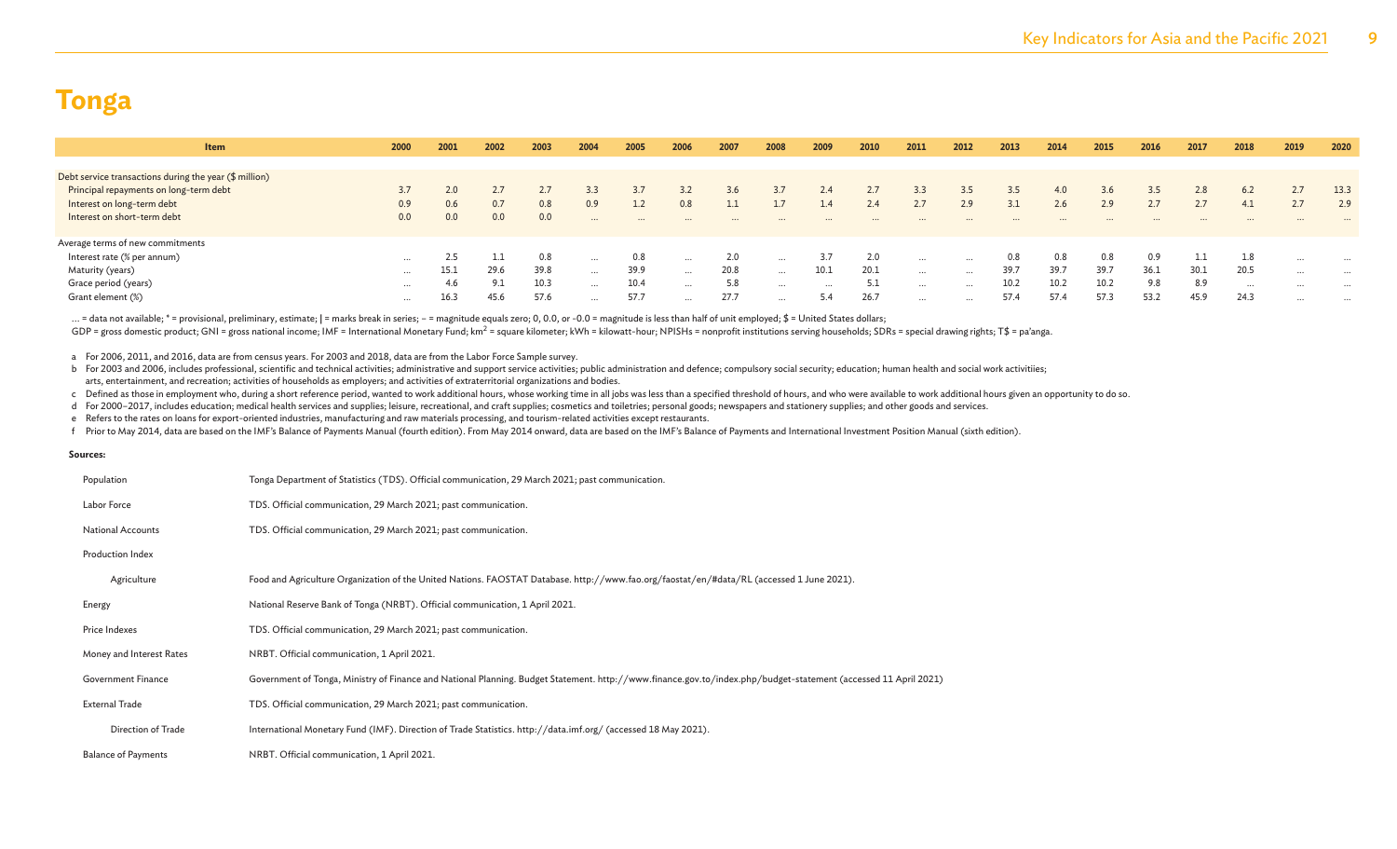| Item                                                               | 2000     | 2001 | 2002    | 2003 | 2004     | 2005     | 2006     | 2007 | 2008     | 2009     | 2010 | 2011     | 2012     | 2013 | 2014 | 2015 | 2016 | 2017 | 2018 | 2019     | 2020     |
|--------------------------------------------------------------------|----------|------|---------|------|----------|----------|----------|------|----------|----------|------|----------|----------|------|------|------|------|------|------|----------|----------|
|                                                                    |          |      |         |      |          |          |          |      |          |          |      |          |          |      |      |      |      |      |      |          |          |
| Debt service transactions during the year $(\frac{4}{3})$ million) |          |      |         |      |          |          |          |      |          |          |      |          |          |      |      |      |      |      |      |          |          |
| Principal repayments on long-term debt                             | 3.7      | 2.0  | 2.7     |      | 3.3      |          |          | 3.6  |          | 2.4      | 2.7  | 3.3      | 3.5      | 3.5  | 4.0  | 3.6  | 3.5  | 2.8  | 6.2  | 2.7      | 13.3     |
| Interest on long-term debt                                         | 0.9      | 0.6  | 0.7     | 0.8  | 0.9      |          | 0.8      |      |          | 1.4      | 2.4  | 2.7      | 2.9      | 3.1  | 2.6  | 2.9  | 2.7  |      | 4.1  | 2.7      | 2.9      |
| Interest on short-term debt                                        | 0.0      | 0.0  | 0.0     | 0.0  | $\cdots$ | $\cdots$ |          |      |          |          |      |          |          |      |      |      |      |      |      |          |          |
| Average terms of new commitments                                   |          |      |         |      |          |          |          |      |          |          |      |          |          |      |      |      |      |      |      |          |          |
| Interest rate (% per annum)                                        | $\cdots$ | 2.5  | للمستقل | 0.8  | $\cdots$ | 0.8      | $\cdots$ | 2.0  | $\cdots$ | 3.7      | 2.0  | $\cdots$ | $\cdots$ | 0.8  | 0.8  | 0.8  |      |      | 1.8  | $\cdots$ |          |
| Maturity (years)                                                   | $\cdots$ | 15.1 | 29.6    | 39.8 |          | 39.9     | $\cdots$ | 20.8 | $\cdots$ | 10.1     | 20.1 | $\cdots$ | $\cdots$ | 39.7 | 39.7 | 39.7 | 36.1 | 30.1 | 20.5 | $\cdots$ |          |
| Grace period (years)                                               | $\cdots$ | 4.6  | 9.1     | 10.3 | $\cdots$ | 10.4     | $\cdots$ | 5.8  | $\cdots$ | $\cdots$ | 5.1  | $\cdots$ | $\cdots$ | 10.2 | 10.2 | 10.2 | 9.8  | 8.9  | .    | $\cdots$ | $\cdots$ |
| Grant element (%)                                                  | $\cdots$ | 16.3 | 45.6    | 57.6 |          | 57.7     | $\cdots$ | 27.7 | $\cdots$ | 5.4      | 26.7 | $\cdots$ | $\cdots$ | 57.4 | 57.4 | 57.3 | 53.2 | 45.9 | 24.3 | $\cdots$ | $\cdots$ |
|                                                                    |          |      |         |      |          |          |          |      |          |          |      |          |          |      |      |      |      |      |      |          |          |

... = data not available; \* = provisional, preliminary, estimate; | = marks break in series; - = magnitude equals zero; 0, 0.0, or -0.0 = magnitude is less than half of unit employed; \$ = United States dollars; GDP = gross domestic product; GNI = gross national income; IMF = International Monetary Fund; km<sup>2</sup> = square kilometer; kWh = kilowatt-hour; NPISHs = nonprofit institutions serving households; SDRs = special drawing right

a For 2006, 2011, and 2016, data are from census years. For 2003 and 2018, data are from the Labor Force Sample survey.

b For 2003 and 2006, includes professional, scientific and technical activities; administrative and support service activities; public administration and defence; compulsory social security; education; human health and soc arts, entertainment, and recreation; activities of households as employers; and activities of extraterritorial organizations and bodies.

c Defined as those in employment who, during a short reference period, wanted to work additional hours, whose working time in all jobs was less than a specified threshold of hours, and who were available to work additional

d For 2000-2017, includes education; medical health services and supplies; leisure, recreational, and craft supplies; cosmetics and toiletries; personal goods; newspapers and stationery supplies; and other goods and servic

e Refers to the rates on loans for export-oriented industries, manufacturing and raw materials processing, and tourism-related activities except restaurants.

f Prior to May 2014, data are based on the IMF's Balance of Payments Manual (fourth edition). From May 2014 onward, data are based on the IMF's Balance of Payments and International Investment Position Manual (sixth editio

#### **Sources:**

| Population                 | Tonga Department of Statistics (TDS). Official communication, 29 March 2021; past communication.                                                                |
|----------------------------|-----------------------------------------------------------------------------------------------------------------------------------------------------------------|
| Labor Force                | TDS. Official communication, 29 March 2021; past communication.                                                                                                 |
| <b>National Accounts</b>   | TDS. Official communication, 29 March 2021; past communication.                                                                                                 |
| Production Index           |                                                                                                                                                                 |
| Agriculture                | Food and Agriculture Organization of the United Nations. FAOSTAT Database. http://www.fao.org/faostat/en/#data/RL (accessed 1 June 2021).                       |
| Energy                     | National Reserve Bank of Tonga (NRBT). Official communication, 1 April 2021.                                                                                    |
| Price Indexes              | TDS. Official communication, 29 March 2021; past communication.                                                                                                 |
| Money and Interest Rates   | NRBT. Official communication, 1 April 2021.                                                                                                                     |
| <b>Government Finance</b>  | Government of Tonga, Ministry of Finance and National Planning. Budget Statement. http://www.finance.gov.to/index.php/budget-statement (accessed 11 April 2021) |
| <b>External Trade</b>      | TDS. Official communication, 29 March 2021; past communication.                                                                                                 |
| Direction of Trade         | International Monetary Fund (IMF). Direction of Trade Statistics. http://data.imf.org/ (accessed 18 May 2021).                                                  |
| <b>Balance of Payments</b> | NRBT. Official communication, 1 April 2021.                                                                                                                     |